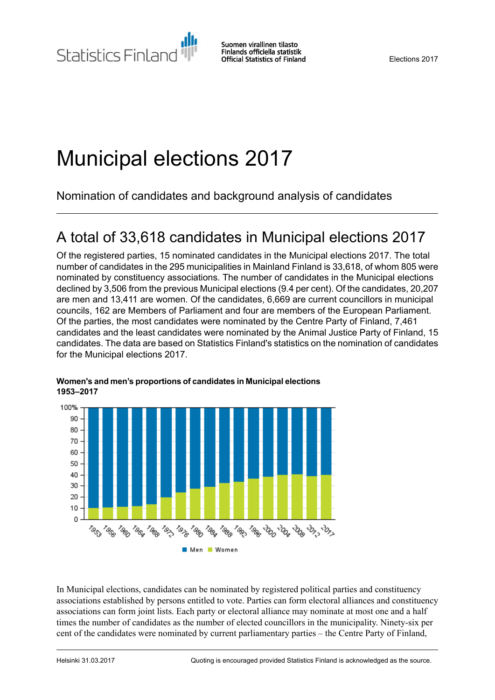# Municipal elections 2017

Nomination of candidates and background analysis of candidates

## A total of 33,618 candidates in Municipal elections 2017

Of the registered parties, 15 nominated candidates in the Municipal elections 2017. The total number of candidates in the 295 municipalities in Mainland Finland is 33,618, of whom 805 were nominated by constituency associations. The number of candidates in the Municipal elections declined by 3,506 from the previous Municipal elections (9.4 per cent). Of the candidates, 20,207 are men and 13,411 are women. Of the candidates, 6,669 are current councillors in municipal councils, 162 are Members of Parliament and four are members of the European Parliament. Of the parties, the most candidates were nominated by the Centre Party of Finland, 7,461 candidates and the least candidates were nominated by the Animal Justice Party of Finland, 15 candidates. The data are based on Statistics Finland's statistics on the nomination of candidates for the Municipal elections 2017.



#### **Women'sand men's proportions ofcandidatesin Municipalelections 1953–2017**

In Municipal elections, candidates can be nominated by registered political parties and constituency associations established by persons entitled to vote. Parties can form electoral alliances and constituency associations can form joint lists. Each party or electoral alliance may nominate at most one and a half times the number of candidates as the number of elected councillors in the municipality. Ninety-six per cent of the candidates were nominated by current parliamentary parties – the Centre Party of Finland,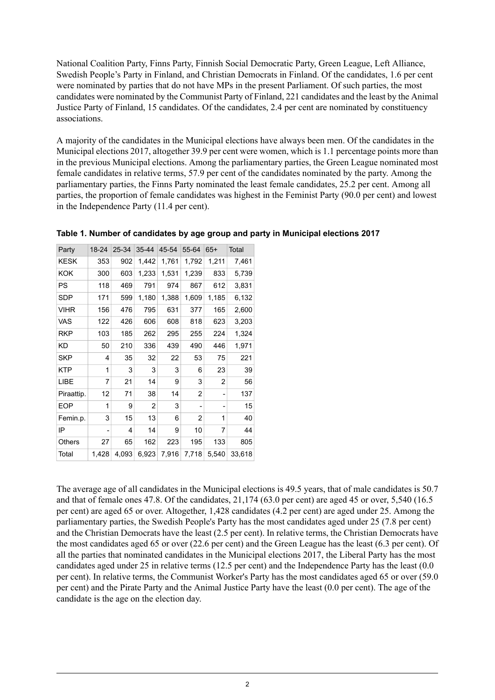National Coalition Party, Finns Party, Finnish Social Democratic Party, Green League, Left Alliance, Swedish People's Party in Finland, and Christian Democrats in Finland. Of the candidates, 1.6 per cent were nominated by parties that do not have MPs in the present Parliament. Of such parties, the most candidates were nominated by the Communist Party of Finland, 221 candidates and the least by the Animal Justice Party of Finland, 15 candidates. Of the candidates, 2.4 per cent are nominated by constituency associations.

A majority of the candidates in the Municipal elections have always been men. Of the candidates in the Municipal elections 2017, altogether 39.9 per cent were women, which is 1.1 percentage points more than in the previous Municipal elections. Among the parliamentary parties, the Green League nominated most female candidates in relative terms, 57.9 per cent of the candidates nominated by the party. Among the parliamentary parties, the Finns Party nominated the least female candidates, 25.2 per cent. Among all parties, the proportion of female candidates was highest in the Feminist Party (90.0 per cent) and lowest in the Independence Party (11.4 per cent).

| Party       | 18-24 | 25-34 | 35-44 | 45-54 | 55-64 | $65+$ | Total  |
|-------------|-------|-------|-------|-------|-------|-------|--------|
| KESK        | 353   | 902   | 1,442 | 1,761 | 1,792 | 1,211 | 7,461  |
| KOK         | 300   | 603   | 1,233 | 1,531 | 1,239 | 833   | 5,739  |
| PS          | 118   | 469   | 791   | 974   | 867   | 612   | 3,831  |
| SDP         | 171   | 599   | 1,180 | 1,388 | 1,609 | 1,185 | 6,132  |
| <b>VIHR</b> | 156   | 476   | 795   | 631   | 377   | 165   | 2,600  |
| VAS         | 122   | 426   | 606   | 608   | 818   | 623   | 3,203  |
| <b>RKP</b>  | 103   | 185   | 262   | 295   | 255   | 224   | 1,324  |
| <b>KD</b>   | 50    | 210   | 336   | 439   | 490   | 446   | 1,971  |
| SKP         | 4     | 35    | 32    | 22    | 53    | 75    | 221    |
| <b>KTP</b>  | 1     | 3     | 3     | 3     | 6     | 23    | 39     |
| LIBE        | 7     | 21    | 14    | 9     | 3     | 2     | 56     |
| Piraattip.  | 12    | 71    | 38    | 14    | 2     |       | 137    |
| <b>EOP</b>  | 1     | 9     | 2     | 3     |       |       | 15     |
| Femin.p.    | 3     | 15    | 13    | 6     | 2     | 1     | 40     |
| IP          | ۰     | 4     | 14    | 9     | 10    | 7     | 44     |
| Others      | 27    | 65    | 162   | 223   | 195   | 133   | 805    |
| Total       | 1,428 | 4,093 | 6,923 | 7,916 | 7,718 | 5,540 | 33,618 |

**Table 1. Number of candidates by age group and party in Municipal elections 2017**

The average age of all candidates in the Municipal elections is 49.5 years, that of male candidates is 50.7 and that of female ones 47.8. Of the candidates, 21,174 (63.0 per cent) are aged 45 or over, 5,540 (16.5 per cent) are aged 65 or over. Altogether, 1,428 candidates (4.2 per cent) are aged under 25. Among the parliamentary parties, the Swedish People's Party has the most candidates aged under 25 (7.8 per cent) and the Christian Democrats have the least (2.5 per cent). In relative terms, the Christian Democrats have the most candidates aged 65 or over (22.6 per cent) and the Green League has the least (6.3 per cent). Of all the parties that nominated candidates in the Municipal elections 2017, the Liberal Party has the most candidates aged under 25 in relative terms (12.5 per cent) and the Independence Party has the least (0.0 per cent). In relative terms, the Communist Worker's Party has the most candidates aged 65 or over (59.0 per cent) and the Pirate Party and the Animal Justice Party have the least (0.0 per cent). The age of the candidate is the age on the election day.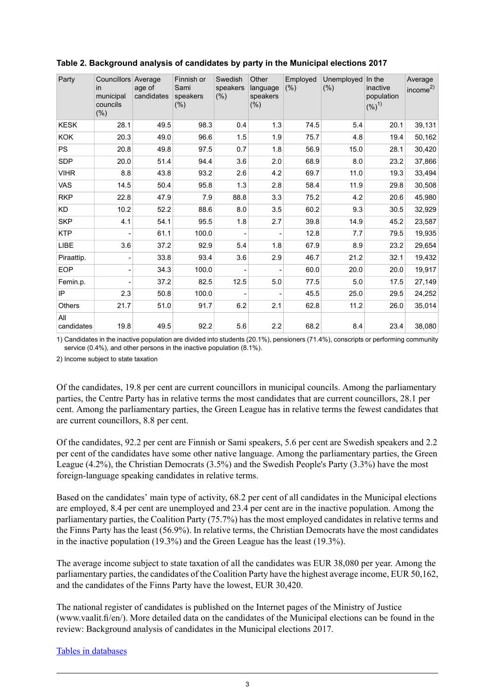| Party             | Councillors Average<br>in<br>municipal<br>councils<br>$(\% )$ | age of<br>candidates | Finnish or<br>Sami<br>speakers<br>(% ) | Swedish<br>speakers<br>(% ) | Other<br>language<br>speakers<br>$(\% )$ | Employed<br>$(\% )$ | Unemployed<br>(% ) | In the<br>inactive<br>population<br>(%) <sup>1</sup> | Average<br>income $^{2)}$ |
|-------------------|---------------------------------------------------------------|----------------------|----------------------------------------|-----------------------------|------------------------------------------|---------------------|--------------------|------------------------------------------------------|---------------------------|
| <b>KESK</b>       | 28.1                                                          | 49.5                 | 98.3                                   | 0.4                         | 1.3                                      | 74.5                | 5.4                | 20.1                                                 | 39,131                    |
| <b>KOK</b>        | 20.3                                                          | 49.0                 | 96.6                                   | 1.5                         | 1.9                                      | 75.7                | 4.8                | 19.4                                                 | 50,162                    |
| <b>PS</b>         | 20.8                                                          | 49.8                 | 97.5                                   | 0.7                         | 1.8                                      | 56.9                | 15.0               | 28.1                                                 | 30,420                    |
| <b>SDP</b>        | 20.0                                                          | 51.4                 | 94.4                                   | 3.6                         | 2.0                                      | 68.9                | 8.0                | 23.2                                                 | 37,866                    |
| <b>VIHR</b>       | 8.8                                                           | 43.8                 | 93.2                                   | 2.6                         | 4.2                                      | 69.7                | 11.0               | 19.3                                                 | 33,494                    |
| <b>VAS</b>        | 14.5                                                          | 50.4                 | 95.8                                   | 1.3                         | 2.8                                      | 58.4                | 11.9               | 29.8                                                 | 30,508                    |
| <b>RKP</b>        | 22.8                                                          | 47.9                 | 7.9                                    | 88.8                        | 3.3                                      | 75.2                | 4.2                | 20.6                                                 | 45,980                    |
| <b>KD</b>         | 10.2                                                          | 52.2                 | 88.6                                   | 8.0                         | 3.5                                      | 60.2                | 9.3                | 30.5                                                 | 32,929                    |
| <b>SKP</b>        | 4.1                                                           | 54.1                 | 95.5                                   | 1.8                         | 2.7                                      | 39.8                | 14.9               | 45.2                                                 | 23,587                    |
| <b>KTP</b>        | $\overline{\phantom{0}}$                                      | 61.1                 | 100.0                                  |                             |                                          | 12.8                | 7.7                | 79.5                                                 | 19,935                    |
| LIBE              | 3.6                                                           | 37.2                 | 92.9                                   | 5.4                         | 1.8                                      | 67.9                | 8.9                | 23.2                                                 | 29,654                    |
| Piraattip.        | $\overline{\phantom{0}}$                                      | 33.8                 | 93.4                                   | 3.6                         | 2.9                                      | 46.7                | 21.2               | 32.1                                                 | 19,432                    |
| <b>EOP</b>        |                                                               | 34.3                 | 100.0                                  |                             |                                          | 60.0                | 20.0               | 20.0                                                 | 19,917                    |
| Femin.p.          |                                                               | 37.2                 | 82.5                                   | 12.5                        | 5.0                                      | 77.5                | 5.0                | 17.5                                                 | 27,149                    |
| IP                | 2.3                                                           | 50.8                 | 100.0                                  |                             |                                          | 45.5                | 25.0               | 29.5                                                 | 24,252                    |
| Others            | 21.7                                                          | 51.0                 | 91.7                                   | 6.2                         | 2.1                                      | 62.8                | 11.2               | 26.0                                                 | 35,014                    |
| All<br>candidates | 19.8                                                          | 49.5                 | 92.2                                   | 5.6                         | 2.2                                      | 68.2                | 8.4                | 23.4                                                 | 38,080                    |

#### **Table 2. Background analysis of candidates by party in the Municipal elections 2017**

1) Candidates in the inactive population are divided into students (20.1%), pensioners (71.4%), conscripts or performing community service (0.4%), and other persons in the inactive population (8.1%).

2) Income subject to state taxation

Of the candidates, 19.8 per cent are current councillors in municipal councils. Among the parliamentary parties, the Centre Party has in relative terms the most candidates that are current councillors, 28.1 per cent. Among the parliamentary parties, the Green League has in relative terms the fewest candidates that are current councillors, 8.8 per cent.

Of the candidates, 92.2 per cent are Finnish or Sami speakers, 5.6 per cent are Swedish speakers and 2.2 per cent of the candidates have some other native language. Among the parliamentary parties, the Green League (4.2%), the Christian Democrats (3.5%) and the Swedish People's Party (3.3%) have the most foreign-language speaking candidates in relative terms.

Based on the candidates' main type of activity, 68.2 per cent of all candidates in the Municipal elections are employed, 8.4 per cent are unemployed and 23.4 per cent are in the inactive population. Among the parliamentary parties, the Coalition Party (75.7%) has the most employed candidates in relative terms and the Finns Party has the least (56.9%). In relative terms, the Christian Democrats have the most candidates in the inactive population (19.3%) and the Green League has the least (19.3%).

The average income subject to state taxation of all the candidates was EUR 38,080 per year. Among the parliamentary parties, the candidates of the Coalition Party have the highest average income, EUR 50,162, and the candidates of the Finns Party have the lowest, EUR 30,420.

The national register of candidates is published on the Internet pages of the Ministry of Justice (www.vaalit.fi/en/). More detailed data on the candidates of the Municipal elections can be found in the review: Background analysis of candidates in the Municipal elections 2017.

Tables in [databases](http://tilastokeskus.fi/til/kvaa/tau_en.html)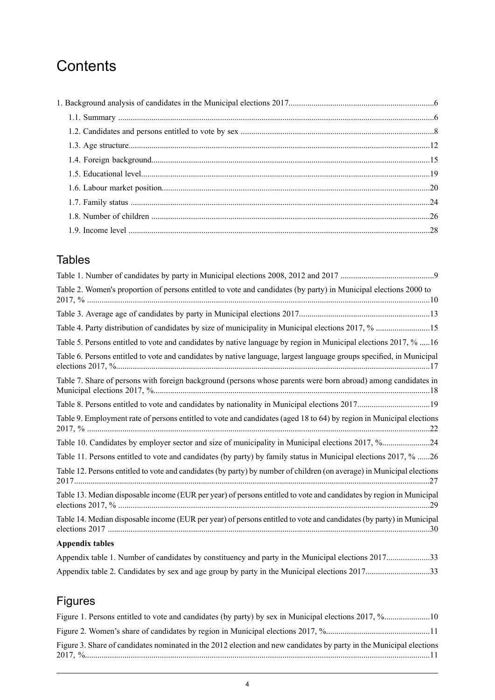## **Contents**

## Tables

| Table 2. Women's proportion of persons entitled to vote and candidates (by party) in Municipal elections 2000 to       |
|------------------------------------------------------------------------------------------------------------------------|
|                                                                                                                        |
|                                                                                                                        |
| Table 5. Persons entitled to vote and candidates by native language by region in Municipal elections 2017, % 16        |
| Table 6. Persons entitled to vote and candidates by native language, largest language groups specified, in Municipal   |
| Table 7. Share of persons with foreign background (persons whose parents were born abroad) among candidates in         |
| Table 8. Persons entitled to vote and candidates by nationality in Municipal elections 201719                          |
| Table 9. Employment rate of persons entitled to vote and candidates (aged 18 to 64) by region in Municipal elections   |
| Table 10. Candidates by employer sector and size of municipality in Municipal elections 2017, %24                      |
| Table 11. Persons entitled to vote and candidates (by party) by family status in Municipal elections 2017, % 26        |
| Table 12. Persons entitled to vote and candidates (by party) by number of children (on average) in Municipal elections |
| Table 13. Median disposable income (EUR per year) of persons entitled to vote and candidates by region in Municipal    |
| Table 14. Median disposable income (EUR per year) of persons entitled to vote and candidates (by party) in Municipal   |
| <b>Appendix tables</b>                                                                                                 |

### Appendix table 1. Number of candidates by constituency and party in the Municipal elections [2017.....................33](#page-32-0) Appendix table 2. Candidates by sex and age group by party in the Municipal elections [2017...............................33](#page-32-1)

## Figures

| Figure 3. Share of candidates nominated in the 2012 election and new candidates by party in the Municipal elections |  |
|---------------------------------------------------------------------------------------------------------------------|--|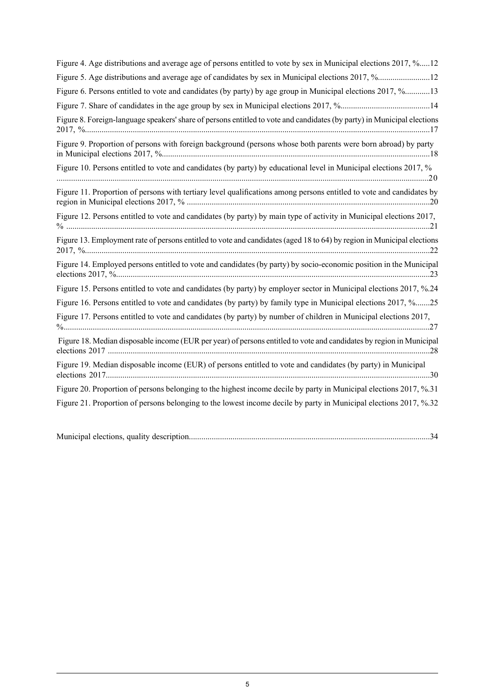| Figure 4. Age distributions and average age of persons entitled to vote by sex in Municipal elections 2017, %12         |
|-------------------------------------------------------------------------------------------------------------------------|
| Figure 5. Age distributions and average age of candidates by sex in Municipal elections 2017, %12                       |
| Figure 6. Persons entitled to vote and candidates (by party) by age group in Municipal elections 2017, %13              |
|                                                                                                                         |
| Figure 8. Foreign-language speakers' share of persons entitled to vote and candidates (by party) in Municipal elections |
| Figure 9. Proportion of persons with foreign background (persons whose both parents were born abroad) by party          |
| Figure 10. Persons entitled to vote and candidates (by party) by educational level in Municipal elections 2017, %       |
| Figure 11. Proportion of persons with tertiary level qualifications among persons entitled to vote and candidates by    |
| Figure 12. Persons entitled to vote and candidates (by party) by main type of activity in Municipal elections 2017,     |
| Figure 13. Employment rate of persons entitled to vote and candidates (aged 18 to 64) by region in Municipal elections  |
| Figure 14. Employed persons entitled to vote and candidates (by party) by socio-economic position in the Municipal      |
| Figure 15. Persons entitled to vote and candidates (by party) by employer sector in Municipal elections 2017, %.24      |
| Figure 16. Persons entitled to vote and candidates (by party) by family type in Municipal elections 2017, %25           |
| Figure 17. Persons entitled to vote and candidates (by party) by number of children in Municipal elections 2017,        |
| Figure 18. Median disposable income (EUR per year) of persons entitled to vote and candidates by region in Municipal    |
| Figure 19. Median disposable income (EUR) of persons entitled to vote and candidates (by party) in Municipal            |
| Figure 20. Proportion of persons belonging to the highest income decile by party in Municipal elections 2017, %.31      |
| Figure 21. Proportion of persons belonging to the lowest income decile by party in Municipal elections 2017, %.32       |

| Municipal elections, quality description |  |  |  |  |
|------------------------------------------|--|--|--|--|
|------------------------------------------|--|--|--|--|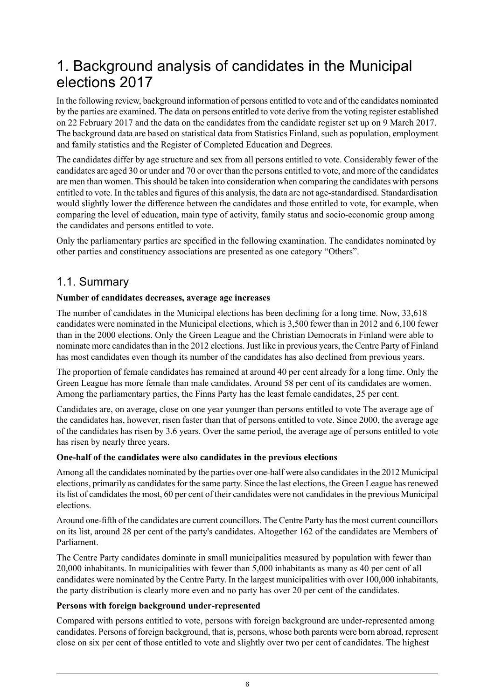## <span id="page-5-0"></span>1. Background analysis of candidates in the Municipal elections 2017

In the following review, background information of persons entitled to vote and of the candidates nominated by the parties are examined. The data on persons entitled to vote derive from the voting register established on 22 February 2017 and the data on the candidates from the candidate register set up on 9 March 2017. The background data are based on statistical data from Statistics Finland, such as population, employment and family statistics and the Register of Completed Education and Degrees.

The candidates differ by age structure and sex from all persons entitled to vote. Considerably fewer of the candidates are aged 30 or under and 70 or over than the persons entitled to vote, and more of the candidates are men than women. This should be taken into consideration when comparing the candidates with persons entitled to vote. In the tables and figures of this analysis, the data are not age-standardised. Standardisation would slightly lower the difference between the candidates and those entitled to vote, for example, when comparing the level of education, main type of activity, family status and socio-economic group among the candidates and persons entitled to vote.

<span id="page-5-1"></span>Only the parliamentary parties are specified in the following examination. The candidates nominated by other parties and constituency associations are presented as one category "Others".

## 1.1. Summary

#### **Number of candidates decreases, average age increases**

The number of candidates in the Municipal elections has been declining for a long time. Now, 33,618 candidates were nominated in the Municipal elections, which is 3,500 fewer than in 2012 and 6,100 fewer than in the 2000 elections. Only the Green League and the Christian Democrats in Finland were able to nominate more candidates than in the 2012 elections. Just like in previous years, the Centre Party of Finland has most candidates even though its number of the candidates has also declined from previous years.

The proportion of female candidates has remained at around 40 per cent already for a long time. Only the Green League has more female than male candidates. Around 58 per cent of its candidates are women. Among the parliamentary parties, the Finns Party has the least female candidates, 25 per cent.

Candidates are, on average, close on one year younger than persons entitled to vote The average age of the candidates has, however, risen faster than that of persons entitled to vote. Since 2000, the average age of the candidates has risen by 3.6 years. Over the same period, the average age of persons entitled to vote has risen by nearly three years.

#### **One-half of the candidates were also candidates in the previous elections**

Among all the candidates nominated by the parties over one-half were also candidatesin the 2012 Municipal elections, primarily as candidates for the same party. Since the last elections, the Green League has renewed its list of candidates the most, 60 per cent of their candidates were not candidates in the previous Municipal elections.

Around one-fifth of the candidates are current councillors. The Centre Party has the most current councillors on its list, around 28 per cent of the party's candidates. Altogether 162 of the candidates are Members of Parliament.

The Centre Party candidates dominate in small municipalities measured by population with fewer than 20,000 inhabitants. In municipalities with fewer than 5,000 inhabitants as many as 40 per cent of all candidates were nominated by the Centre Party. In the largest municipalities with over 100,000 inhabitants, the party distribution is clearly more even and no party has over 20 per cent of the candidates.

#### **Persons with foreign background under-represented**

Compared with persons entitled to vote, persons with foreign background are under-represented among candidates. Persons of foreign background, that is, persons, whose both parents were born abroad, represent close on six per cent of those entitled to vote and slightly over two per cent of candidates. The highest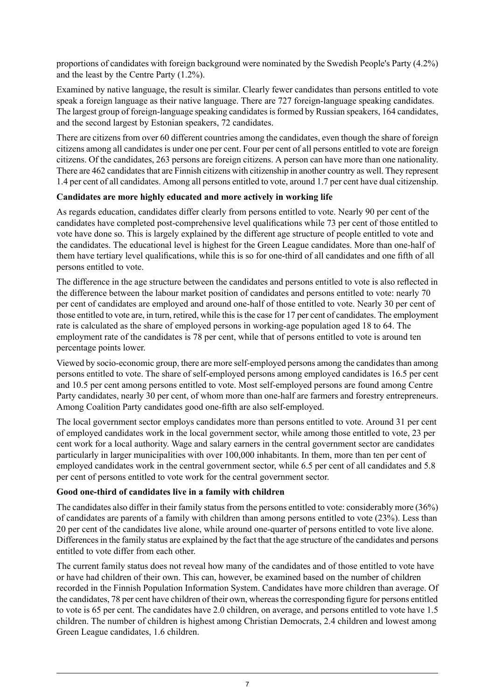proportions of candidates with foreign background were nominated by the Swedish People's Party (4.2%) and the least by the Centre Party (1.2%).

Examined by native language, the result is similar. Clearly fewer candidates than persons entitled to vote speak a foreign language as their native language. There are 727 foreign-language speaking candidates. The largest group of foreign-language speaking candidates is formed by Russian speakers, 164 candidates, and the second largest by Estonian speakers, 72 candidates.

There are citizens from over 60 different countries among the candidates, even though the share of foreign citizens among all candidates is under one per cent. Four per cent of all persons entitled to vote are foreign citizens. Of the candidates, 263 persons are foreign citizens. A person can have more than one nationality. There are 462 candidates that are Finnish citizens with citizenship in another country as well. They represent 1.4 per cent of all candidates. Among all persons entitled to vote, around 1.7 per cent have dual citizenship.

#### **Candidates are more highly educated and more actively in working life**

As regards education, candidates differ clearly from persons entitled to vote. Nearly 90 per cent of the candidates have completed post-comprehensive level qualifications while 73 per cent of those entitled to vote have done so. This is largely explained by the different age structure of people entitled to vote and the candidates. The educational level is highest for the Green League candidates. More than one-half of them have tertiary level qualifications, while this is so for one-third of all candidates and one fifth of all persons entitled to vote.

The difference in the age structure between the candidates and persons entitled to vote is also reflected in the difference between the labour market position of candidates and persons entitled to vote: nearly 70 per cent of candidates are employed and around one-half of those entitled to vote. Nearly 30 per cent of those entitled to vote are, in turn, retired, while this is the case for 17 per cent of candidates. The employment rate is calculated as the share of employed persons in working-age population aged 18 to 64. The employment rate of the candidates is 78 per cent, while that of persons entitled to vote is around ten percentage points lower.

Viewed by socio-economic group, there are more self-employed persons among the candidatesthan among persons entitled to vote. The share of self-employed persons among employed candidates is 16.5 per cent and 10.5 per cent among persons entitled to vote. Most self-employed persons are found among Centre Party candidates, nearly 30 per cent, of whom more than one-half are farmers and forestry entrepreneurs. Among Coalition Party candidates good one-fifth are also self-employed.

The local government sector employs candidates more than persons entitled to vote. Around 31 per cent of employed candidates work in the local government sector, while among those entitled to vote, 23 per cent work for a local authority. Wage and salary earners in the central government sector are candidates particularly in larger municipalities with over 100,000 inhabitants. In them, more than ten per cent of employed candidates work in the central government sector, while 6.5 per cent of all candidates and 5.8 per cent of persons entitled to vote work for the central government sector.

#### **Good one-third of candidates live in a family with children**

The candidates also differ in their family status from the persons entitled to vote: considerably more (36%) of candidates are parents of a family with children than among persons entitled to vote (23%). Less than 20 per cent of the candidates live alone, while around one-quarter of persons entitled to vote live alone. Differences in the family status are explained by the fact that the age structure of the candidates and persons entitled to vote differ from each other.

The current family status does not reveal how many of the candidates and of those entitled to vote have or have had children of their own. This can, however, be examined based on the number of children recorded in the Finnish Population Information System. Candidates have more children than average. Of the candidates, 78 per cent have children of their own, whereas the corresponding figure for persons entitled to vote is 65 per cent. The candidates have 2.0 children, on average, and persons entitled to vote have 1.5 children. The number of children is highest among Christian Democrats, 2.4 children and lowest among Green League candidates, 1.6 children.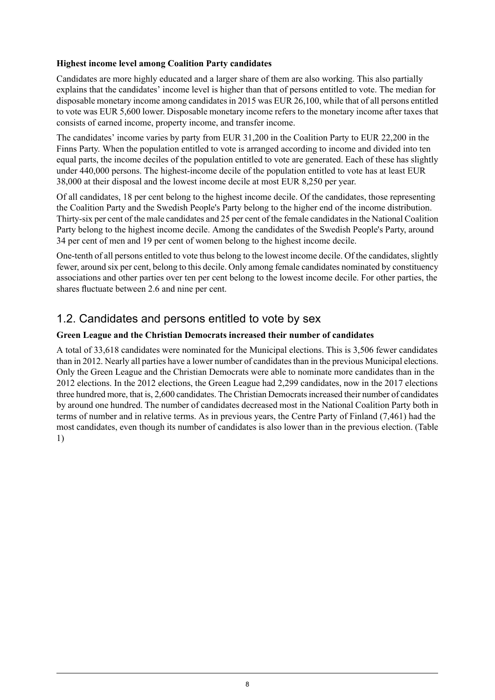#### **Highest income level among Coalition Party candidates**

Candidates are more highly educated and a larger share of them are also working. This also partially explains that the candidates' income level is higher than that of persons entitled to vote. The median for disposable monetary income among candidates in 2015 was EUR 26,100, while that of all persons entitled to vote was EUR 5,600 lower. Disposable monetary income refers to the monetary income after taxes that consists of earned income, property income, and transfer income.

The candidates' income varies by party from EUR 31,200 in the Coalition Party to EUR 22,200 in the Finns Party. When the population entitled to vote is arranged according to income and divided into ten equal parts, the income deciles of the population entitled to vote are generated. Each of these has slightly under 440,000 persons. The highest-income decile of the population entitled to vote has at least EUR 38,000 at their disposal and the lowest income decile at most EUR 8,250 per year.

Of all candidates, 18 per cent belong to the highest income decile. Of the candidates, those representing the Coalition Party and the Swedish People's Party belong to the higher end of the income distribution. Thirty-six per cent of the male candidates and 25 per cent of the female candidatesin the National Coalition Party belong to the highest income decile. Among the candidates of the Swedish People's Party, around 34 per cent of men and 19 per cent of women belong to the highest income decile.

One-tenth of all persons entitled to vote thus belong to the lowest income decile. Of the candidates, slightly fewer, around six per cent, belong to this decile. Only among female candidates nominated by constituency associations and other parties over ten per cent belong to the lowest income decile. For other parties, the shares fluctuate between 2.6 and nine per cent.

## <span id="page-7-0"></span>1.2. Candidates and persons entitled to vote by sex

#### **Green League and the Christian Democrats increased their number of candidates**

A total of 33,618 candidates were nominated for the Municipal elections. This is 3,506 fewer candidates than in 2012. Nearly all parties have a lower number of candidates than in the previous Municipal elections. Only the Green League and the Christian Democrats were able to nominate more candidates than in the 2012 elections. In the 2012 elections, the Green League had 2,299 candidates, now in the 2017 elections three hundred more, that is, 2,600 candidates. The Christian Democrats increased their number of candidates by around one hundred. The number of candidates decreased most in the National Coalition Party both in terms of number and in relative terms. As in previous years, the Centre Party of Finland (7,461) had the most candidates, even though its number of candidates is also lower than in the previous election. (Table 1)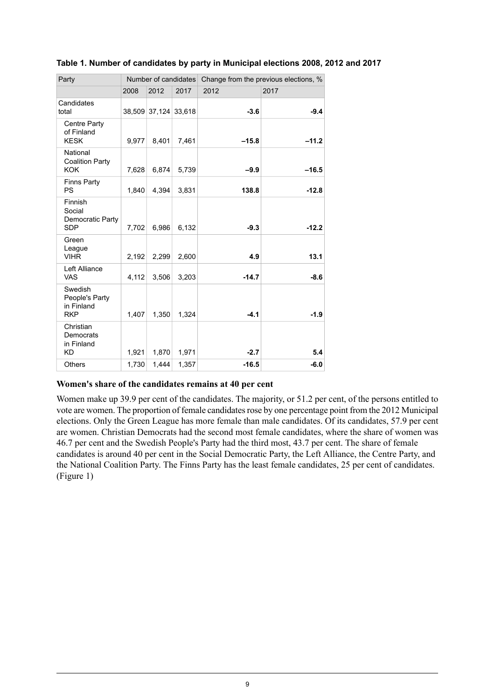| Party                                                 |       |                      |       | Number of candidates Change from the previous elections, % |         |  |
|-------------------------------------------------------|-------|----------------------|-------|------------------------------------------------------------|---------|--|
|                                                       | 2008  | 2012                 | 2017  | 2012                                                       | 2017    |  |
| Candidates<br>total                                   |       | 38,509 37,124 33,618 |       | $-3.6$                                                     | $-9.4$  |  |
| Centre Party<br>of Finland<br><b>KESK</b>             | 9,977 | 8,401                | 7,461 | $-15.8$                                                    | $-11.2$ |  |
| National<br><b>Coalition Party</b><br><b>KOK</b>      | 7,628 | 6,874                | 5,739 | $-9.9$                                                     | $-16.5$ |  |
| <b>Finns Party</b><br><b>PS</b>                       | 1.840 | 4,394                | 3,831 | 138.8                                                      | $-12.8$ |  |
| Finnish<br>Social<br>Democratic Party<br><b>SDP</b>   | 7,702 | 6,986                | 6,132 | $-9.3$                                                     | $-12.2$ |  |
| Green<br>League<br><b>VIHR</b>                        | 2,192 | 2,299                | 2,600 | 4.9                                                        | 13.1    |  |
| Left Alliance<br><b>VAS</b>                           | 4,112 | 3,506                | 3,203 | $-14.7$                                                    | $-8.6$  |  |
| Swedish<br>People's Party<br>in Finland<br><b>RKP</b> | 1,407 | 1,350                | 1,324 | $-4.1$                                                     | $-1.9$  |  |
| Christian<br>Democrats<br>in Finland<br><b>KD</b>     | 1.921 | 1,870                | 1,971 | $-2.7$                                                     | 5.4     |  |
| <b>Others</b>                                         | 1,730 | 1,444                | 1,357 | $-16.5$                                                    | $-6.0$  |  |

#### <span id="page-8-0"></span>**Table 1. Number of candidates by party in Municipal elections 2008, 2012 and 2017**

#### **Women's share of the candidates remains at 40 per cent**

Women make up 39.9 per cent of the candidates. The majority, or 51.2 per cent, of the persons entitled to vote are women. The proportion of female candidates rose by one percentage point from the 2012 Municipal elections. Only the Green League has more female than male candidates. Of its candidates, 57.9 per cent are women. Christian Democrats had the second most female candidates, where the share of women was 46.7 per cent and the Swedish People's Party had the third most, 43.7 per cent. The share of female candidates is around 40 per cent in the Social Democratic Party, the Left Alliance, the Centre Party, and the National Coalition Party. The Finns Party has the least female candidates, 25 per cent of candidates. (Figure 1)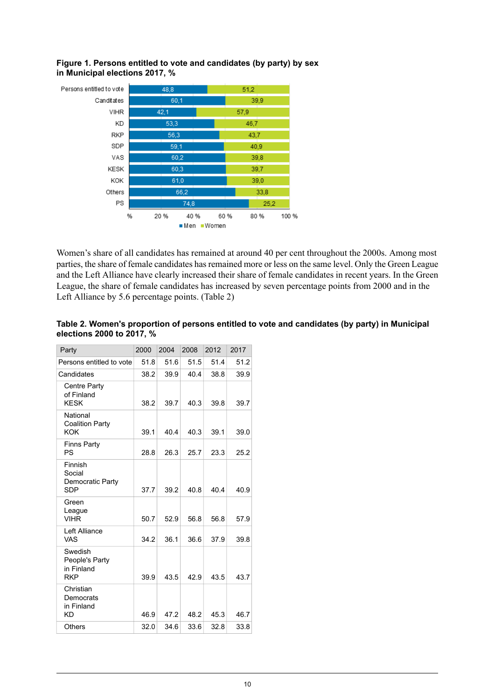

<span id="page-9-1"></span>**Figure 1. Persons entitled to vote and candidates (by party) by sex in Municipal elections 2017, %**

Women's share of all candidates has remained at around 40 per cent throughout the 2000s. Among most parties, the share of female candidates has remained more or less on the same level. Only the Green League and the Left Alliance have clearly increased their share of female candidates in recent years. In the Green League, the share of female candidates has increased by seven percentage points from 2000 and in the Left Alliance by 5.6 percentage points. (Table 2)

| Party                                                 | 2000 | 2004 | 2008 | 2012 | 2017 |
|-------------------------------------------------------|------|------|------|------|------|
| Persons entitled to vote                              | 51.8 | 51.6 | 51.5 | 51.4 | 51.2 |
| Candidates                                            | 38.2 | 39.9 | 40.4 | 38.8 | 39.9 |
| Centre Party<br>of Finland<br><b>KESK</b>             | 38.2 | 39.7 | 40.3 | 39.8 | 39.7 |
| National<br><b>Coalition Party</b><br><b>KOK</b>      | 39.1 | 40.4 | 40.3 | 39.1 | 39.0 |
| <b>Finns Party</b><br>PS                              | 28.8 | 26.3 | 25.7 | 23.3 | 25.2 |
| Finnish<br>Social<br>Democratic Party<br><b>SDP</b>   | 37.7 | 39.2 | 40.8 | 40.4 | 40.9 |
| Green<br>League<br><b>VIHR</b>                        | 50.7 | 52.9 | 56.8 | 56.8 | 57.9 |
| Left Alliance<br><b>VAS</b>                           | 34.2 | 36.1 | 36.6 | 37.9 | 39.8 |
| Swedish<br>People's Party<br>in Finland<br><b>RKP</b> | 39.9 | 43.5 | 42.9 | 43.5 | 43.7 |
| Christian<br>Democrats<br>in Finland<br><b>KD</b>     | 46.9 | 47.2 | 48.2 | 45.3 | 46.7 |
| Others                                                | 32.0 | 34.6 | 33.6 | 32.8 | 33.8 |

#### <span id="page-9-0"></span>**Table 2. Women's proportion of persons entitled to vote and candidates (by party) in Municipal elections 2000 to 2017, %**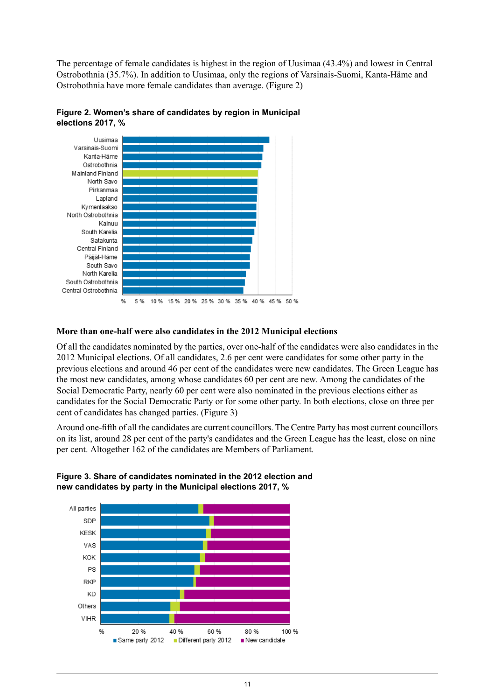The percentage of female candidates is highest in the region of Uusimaa (43.4%) and lowest in Central Ostrobothnia (35.7%). In addition to Uusimaa, only the regions of Varsinais-Suomi, Kanta-Häme and Ostrobothnia have more female candidates than average. (Figure 2)

![](_page_10_Figure_1.jpeg)

<span id="page-10-0"></span>![](_page_10_Figure_2.jpeg)

#### **More than one-half were also candidates in the 2012 Municipal elections**

Of all the candidates nominated by the parties, over one-half of the candidates were also candidates in the 2012 Municipal elections. Of all candidates, 2.6 per cent were candidates for some other party in the previous elections and around 46 per cent of the candidates were new candidates. The Green League has the most new candidates, among whose candidates 60 per cent are new. Among the candidates of the Social Democratic Party, nearly 60 per cent were also nominated in the previous elections either as candidates for the Social Democratic Party or for some other party. In both elections, close on three per cent of candidates has changed parties. (Figure 3)

<span id="page-10-1"></span>Around one-fifth of all the candidates are current councillors. The Centre Party has most current councillors on its list, around 28 per cent of the party's candidates and the Green League has the least, close on nine per cent. Altogether 162 of the candidates are Members of Parliament.

![](_page_10_Figure_6.jpeg)

**Figure 3. Share of candidates nominated in the 2012 election and new candidates by party in the Municipal elections 2017, %**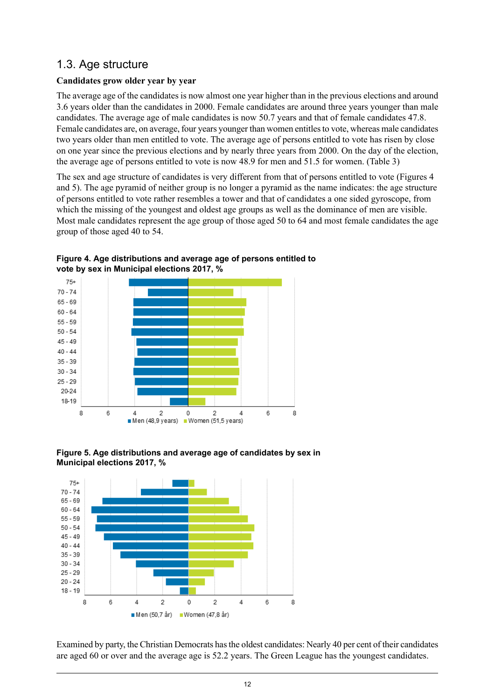## <span id="page-11-0"></span>1.3. Age structure

### **Candidates grow older year by year**

The average age of the candidates is now almost one year higher than in the previous elections and around 3.6 years older than the candidates in 2000. Female candidates are around three years younger than male candidates. The average age of male candidates is now 50.7 years and that of female candidates 47.8. Female candidates are, on average, four years younger than women entitles to vote, whereas male candidates two years older than men entitled to vote. The average age of persons entitled to vote has risen by close on one year since the previous elections and by nearly three years from 2000. On the day of the election, the average age of persons entitled to vote is now 48.9 for men and 51.5 for women. (Table 3)

The sex and age structure of candidates is very different from that of persons entitled to vote (Figures 4 and 5). The age pyramid of neither group is no longer a pyramid as the name indicates: the age structure of persons entitled to vote rather resembles a tower and that of candidates a one sided gyroscope, from which the missing of the youngest and oldest age groups as well as the dominance of men are visible. Most male candidates represent the age group of those aged 50 to 64 and most female candidates the age group of those aged 40 to 54.

![](_page_11_Figure_4.jpeg)

<span id="page-11-1"></span>**Figure 4. Age distributions and average age of persons entitled to vote by sex in Municipal elections 2017, %**

<span id="page-11-2"></span>![](_page_11_Figure_6.jpeg)

![](_page_11_Figure_7.jpeg)

Examined by party, the Christian Democrats hasthe oldest candidates: Nearly 40 per cent of their candidates are aged 60 or over and the average age is 52.2 years. The Green League has the youngest candidates.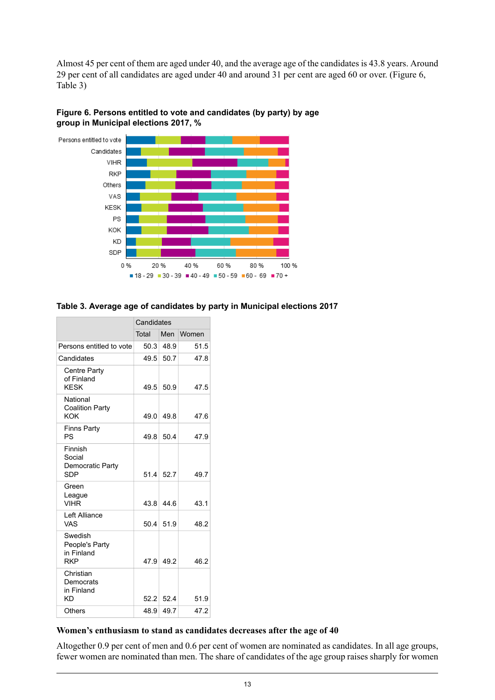Almost 45 per cent of them are aged under 40, and the average age of the candidates is 43.8 years. Around 29 per cent of all candidates are aged under 40 and around 31 per cent are aged 60 or over. (Figure 6, Table 3)

![](_page_12_Figure_1.jpeg)

<span id="page-12-1"></span>![](_page_12_Figure_2.jpeg)

#### <span id="page-12-0"></span>**Table 3. Average age of candidates by party in Municipal elections 2017**

|                                                       | Candidates |             |       |  |  |
|-------------------------------------------------------|------------|-------------|-------|--|--|
|                                                       | Total      | Men         | Women |  |  |
| Persons entitled to vote                              | 50.3       | 48.9        | 51.5  |  |  |
| Candidates                                            | 49.5       | 50.7        | 47.8  |  |  |
| Centre Party<br>of Finland<br><b>KESK</b>             | 49.5       | 50.9        | 47.5  |  |  |
| National<br><b>Coalition Party</b><br>KOK             | 49.0       | 49.8        | 47.6  |  |  |
| <b>Finns Party</b><br>PS                              | 49.8       | 50.4        | 47.9  |  |  |
| Finnish<br>Social<br>Democratic Party<br><b>SDP</b>   |            | $51.4$ 52.7 | 49.7  |  |  |
| Green<br>League<br><b>VIHR</b>                        | 43.8       | 44.6        | 43.1  |  |  |
| Left Alliance<br>VAS                                  | 50.4       | 51.9        | 48.2  |  |  |
| Swedish<br>People's Party<br>in Finland<br><b>RKP</b> | 47.9       | 49.2        | 46.2  |  |  |
| Christian<br>Democrats<br>in Finland<br>KD            | 52.2       | 52.4        | 51.9  |  |  |
| Others                                                | 48.9       | 49.7        | 47.2  |  |  |

#### **Women's enthusiasm to stand as candidates decreases after the age of 40**

Altogether 0.9 per cent of men and 0.6 per cent of women are nominated as candidates. In all age groups, fewer women are nominated than men. The share of candidates of the age group raises sharply for women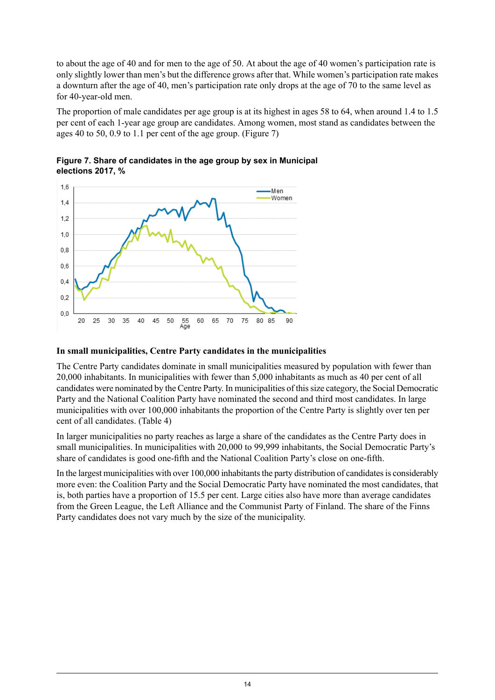to about the age of 40 and for men to the age of 50. At about the age of 40 women's participation rate is only slightly lower than men's but the difference grows after that. While women's participation rate makes a downturn after the age of 40, men's participation rate only drops at the age of 70 to the same level as for 40-year-old men.

The proportion of male candidates per age group is at its highest in ages 58 to 64, when around 1.4 to 1.5 per cent of each 1-year age group are candidates. Among women, most stand as candidates between the ages 40 to 50, 0.9 to 1.1 per cent of the age group. (Figure 7)

![](_page_13_Figure_2.jpeg)

<span id="page-13-0"></span>**Figure 7. Share of candidates in the age group by sex in Municipal elections 2017, %**

#### **In small municipalities, Centre Party candidates in the municipalities**

The Centre Party candidates dominate in small municipalities measured by population with fewer than 20,000 inhabitants. In municipalities with fewer than 5,000 inhabitants as much as 40 per cent of all candidates were nominated by the Centre Party. In municipalities of thissize category, the Social Democratic Party and the National Coalition Party have nominated the second and third most candidates. In large municipalities with over 100,000 inhabitants the proportion of the Centre Party is slightly over ten per cent of all candidates. (Table 4)

In larger municipalities no party reaches as large a share of the candidates as the Centre Party does in small municipalities. In municipalities with 20,000 to 99,999 inhabitants, the Social Democratic Party's share of candidates is good one-fifth and the National Coalition Party's close on one-fifth.

In the largest municipalities with over 100,000 inhabitants the party distribution of candidates is considerably more even: the Coalition Party and the Social Democratic Party have nominated the most candidates, that is, both parties have a proportion of 15.5 per cent. Large cities also have more than average candidates from the Green League, the Left Alliance and the Communist Party of Finland. The share of the Finns Party candidates does not vary much by the size of the municipality.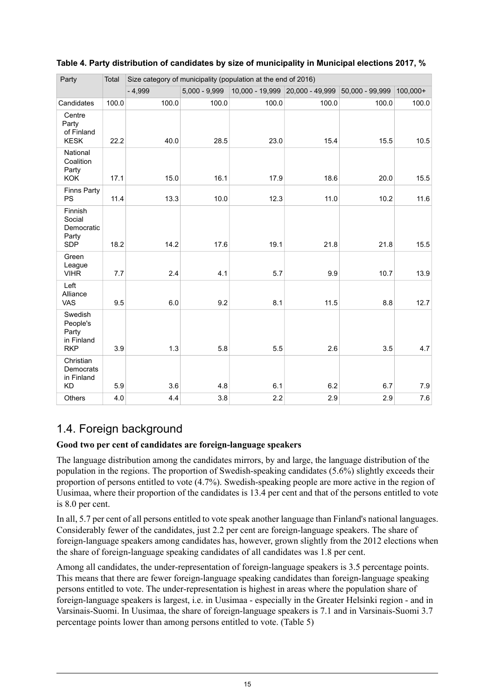| Party                                                    | Total | Size category of municipality (population at the end of 2016) |                 |       |                                 |                 |            |  |  |
|----------------------------------------------------------|-------|---------------------------------------------------------------|-----------------|-------|---------------------------------|-----------------|------------|--|--|
|                                                          |       | $-4,999$                                                      | $5,000 - 9,999$ |       | 10,000 - 19,999 20,000 - 49,999 | 50,000 - 99,999 | $100,000+$ |  |  |
| Candidates                                               | 100.0 | 100.0                                                         | 100.0           | 100.0 | 100.0                           | 100.0           | 100.0      |  |  |
| Centre<br>Party<br>of Finland<br><b>KESK</b>             | 22.2  | 40.0                                                          | 28.5            | 23.0  | 15.4                            | 15.5            | 10.5       |  |  |
| National<br>Coalition<br>Party<br><b>KOK</b>             | 17.1  | 15.0                                                          | 16.1            | 17.9  | 18.6                            | 20.0            | 15.5       |  |  |
| <b>Finns Party</b><br><b>PS</b>                          | 11.4  | 13.3                                                          | 10.0            | 12.3  | 11.0                            | 10.2            | 11.6       |  |  |
| Finnish<br>Social<br>Democratic<br>Party<br><b>SDP</b>   | 18.2  | 14.2                                                          | 17.6            | 19.1  | 21.8                            | 21.8            | 15.5       |  |  |
| Green<br>League<br><b>VIHR</b>                           | 7.7   | 2.4                                                           | 4.1             | 5.7   | 9.9                             | 10.7            | 13.9       |  |  |
| Left<br>Alliance<br>VAS                                  | 9.5   | 6.0                                                           | 9.2             | 8.1   | 11.5                            | 8.8             | 12.7       |  |  |
| Swedish<br>People's<br>Party<br>in Finland<br><b>RKP</b> | 3.9   | 1.3                                                           | 5.8             | 5.5   | 2.6                             | 3.5             | 4.7        |  |  |
| Christian<br>Democrats<br>in Finland<br><b>KD</b>        | 5.9   | 3.6                                                           | 4.8             | 6.1   | 6.2                             | 6.7             | 7.9        |  |  |
| Others                                                   | 4.0   | 4.4                                                           | 3.8             | 2.2   | 2.9                             | 2.9             | 7.6        |  |  |

#### <span id="page-14-1"></span>**Table 4. Party distribution of candidates by size of municipality in Municipal elections 2017, %**

## <span id="page-14-0"></span>1.4. Foreign background

#### **Good two per cent of candidates are foreign-language speakers**

The language distribution among the candidates mirrors, by and large, the language distribution of the population in the regions. The proportion of Swedish-speaking candidates (5.6%) slightly exceeds their proportion of persons entitled to vote (4.7%). Swedish-speaking people are more active in the region of Uusimaa, where their proportion of the candidates is 13.4 per cent and that of the persons entitled to vote is 8.0 per cent.

In all, 5.7 per cent of all persons entitled to vote speak another language than Finland's national languages. Considerably fewer of the candidates, just 2.2 per cent are foreign-language speakers. The share of foreign-language speakers among candidates has, however, grown slightly from the 2012 elections when the share of foreign-language speaking candidates of all candidates was 1.8 per cent.

Among all candidates, the under-representation of foreign-language speakers is 3.5 percentage points. This means that there are fewer foreign-language speaking candidates than foreign-language speaking persons entitled to vote. The under-representation is highest in areas where the population share of foreign-language speakers is largest, i.e. in Uusimaa - especially in the Greater Helsinki region - and in Varsinais-Suomi. In Uusimaa, the share of foreign-language speakers is 7.1 and in Varsinais-Suomi 3.7 percentage points lower than among persons entitled to vote. (Table 5)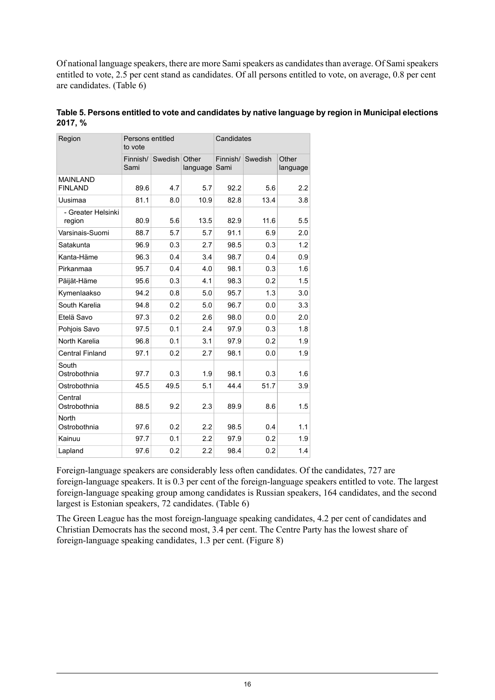Of national language speakers, there are more Sami speakers as candidates than average. Of Sami speakers entitled to vote, 2.5 per cent stand as candidates. Of all persons entitled to vote, on average, 0.8 per cent are candidates. (Table 6)

| Region                            | Persons entitled<br>to vote |         |                   | Candidates       |         |                   |  |
|-----------------------------------|-----------------------------|---------|-------------------|------------------|---------|-------------------|--|
|                                   | Finnish/<br>Sami            | Swedish | Other<br>language | Finnish/<br>Sami | Swedish | Other<br>language |  |
| <b>MAINLAND</b><br><b>FINLAND</b> | 89.6                        | 4.7     | 5.7               | 92.2             | 5.6     | 2.2               |  |
| Uusimaa                           | 81.1                        | 8.0     | 10.9              | 82.8             | 13.4    | 3.8               |  |
| - Greater Helsinki<br>region      | 80.9                        | 5.6     | 13.5              | 82.9             | 11.6    | 5.5               |  |
| Varsinais-Suomi                   | 88.7                        | 5.7     | 5.7               | 91.1             | 6.9     | 2.0               |  |
| Satakunta                         | 96.9                        | 0.3     | 2.7               | 98.5             | 0.3     | 1.2               |  |
| Kanta-Häme                        | 96.3                        | 0.4     | 3.4               | 98.7             | 0.4     | 0.9               |  |
| Pirkanmaa                         | 95.7                        | 0.4     | 4.0               | 98.1             | 0.3     | 1.6               |  |
| Päijät-Häme                       | 95.6                        | 0.3     | 4.1               | 98.3             | 0.2     | 1.5               |  |
| Kymenlaakso                       | 94.2                        | 0.8     | 5.0               | 95.7             | 1.3     | 3.0               |  |
| South Karelia                     | 94.8                        | 0.2     | 5.0               | 96.7             | 0.0     | 3.3               |  |
| Etelä Savo                        | 97.3                        | 0.2     | 2.6               | 98.0             | 0.0     | 2.0               |  |
| Pohjois Savo                      | 97.5                        | 0.1     | 2.4               | 97.9             | 0.3     | 1.8               |  |
| North Karelia                     | 96.8                        | 0.1     | 3.1               | 97.9             | 0.2     | 1.9               |  |
| <b>Central Finland</b>            | 97.1                        | 0.2     | 2.7               | 98.1             | 0.0     | 1.9               |  |
| South<br>Ostrobothnia             | 97.7                        | 0.3     | 1.9               | 98.1             | 0.3     | 1.6               |  |
| Ostrobothnia                      | 45.5                        | 49.5    | 5.1               | 44.4             | 51.7    | 3.9               |  |
| Central<br>Ostrobothnia           | 88.5                        | 9.2     | 2.3               | 89.9             | 8.6     | 1.5               |  |
| North<br>Ostrobothnia             | 97.6                        | 0.2     | 2.2               | 98.5             | 0.4     | 1.1               |  |
| Kainuu                            | 97.7                        | 0.1     | 2.2               | 97.9             | 0.2     | 1.9               |  |
| Lapland                           | 97.6                        | 0.2     | 2.2               | 98.4             | 0.2     | 1.4               |  |

<span id="page-15-0"></span>**Table5. Personsentitled to voteand candidates by nativelanguage byregion in Municipalelections 2017, %**

Foreign-language speakers are considerably less often candidates. Of the candidates, 727 are foreign-language speakers. It is 0.3 per cent of the foreign-language speakers entitled to vote. The largest foreign-language speaking group among candidates is Russian speakers, 164 candidates, and the second largest is Estonian speakers, 72 candidates. (Table 6)

The Green League has the most foreign-language speaking candidates, 4.2 per cent of candidates and Christian Democrats has the second most, 3.4 per cent. The Centre Party has the lowest share of foreign-language speaking candidates, 1.3 per cent. (Figure 8)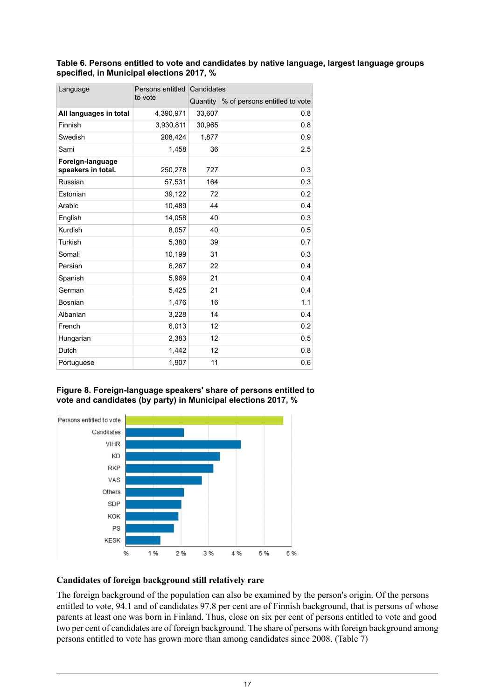#### <span id="page-16-0"></span>**Table 6. Persons entitled to vote and candidates by native language, largest language groups specified, in Municipal elections 2017, %**

| Language                               | Persons entitled | Candidates |                               |  |  |  |
|----------------------------------------|------------------|------------|-------------------------------|--|--|--|
|                                        | to vote          | Quantity   | % of persons entitled to vote |  |  |  |
| All languages in total                 | 4,390,971        | 33,607     | 0.8                           |  |  |  |
| Finnish                                | 3,930,811        | 30,965     | 0.8                           |  |  |  |
| Swedish                                | 208,424          | 1,877      | 0.9                           |  |  |  |
| Sami                                   | 1,458            | 36         | 2.5                           |  |  |  |
| Foreign-language<br>speakers in total. | 250,278          | 727        | 0.3                           |  |  |  |
| Russian                                | 57,531           | 164        | 0.3                           |  |  |  |
| Estonian                               | 39,122           | 72         | 0.2                           |  |  |  |
| Arabic                                 | 10,489           | 44         | 0.4                           |  |  |  |
| English                                | 14,058           | 40         | 0.3                           |  |  |  |
| Kurdish                                | 8,057            | 40         | 0.5                           |  |  |  |
| Turkish                                | 5,380            | 39         | 0.7                           |  |  |  |
| Somali                                 | 10,199           | 31         | 0.3                           |  |  |  |
| Persian                                | 6,267            | 22         | 0.4                           |  |  |  |
| Spanish                                | 5,969            | 21         | 0.4                           |  |  |  |
| German                                 | 5,425            | 21         | 0.4                           |  |  |  |
| Bosnian                                | 1,476            | 16         | 1.1                           |  |  |  |
| Albanian                               | 3,228            | 14         | 0.4                           |  |  |  |
| French                                 | 6,013            | 12         | 0.2                           |  |  |  |
| Hungarian                              | 2,383            | 12         | 0.5                           |  |  |  |
| Dutch                                  | 1,442            | 12         | 0.8                           |  |  |  |
| Portuguese                             | 1,907            | 11         | 0.6                           |  |  |  |

#### <span id="page-16-1"></span>**Figure 8. Foreign-language speakers' share of persons entitled to vote and candidates (by party) in Municipal elections 2017, %**

![](_page_16_Figure_3.jpeg)

#### **Candidates of foreign background still relatively rare**

The foreign background of the population can also be examined by the person's origin. Of the persons entitled to vote, 94.1 and of candidates 97.8 per cent are of Finnish background, that is persons of whose parents at least one was born in Finland. Thus, close on six per cent of persons entitled to vote and good two per cent of candidates are of foreign background. The share of persons with foreign background among persons entitled to vote has grown more than among candidates since 2008. (Table 7)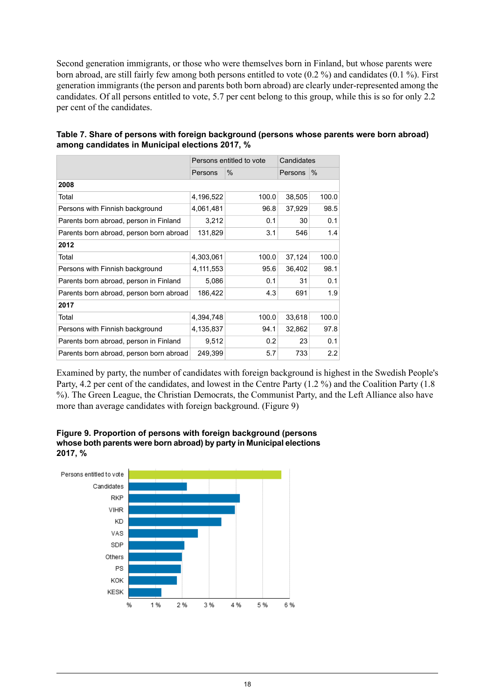Second generation immigrants, or those who were themselves born in Finland, but whose parents were born abroad, are still fairly few among both persons entitled to vote (0.2 %) and candidates (0.1 %). First generation immigrants (the person and parents both born abroad) are clearly under-represented among the candidates. Of all persons entitled to vote, 5.7 per cent belong to this group, while this is so for only 2.2 per cent of the candidates.

|                                         |           | Persons entitled to vote | Candidates |       |  |  |
|-----------------------------------------|-----------|--------------------------|------------|-------|--|--|
|                                         | Persons   | $\%$                     | Persons    | $\%$  |  |  |
| 2008                                    |           |                          |            |       |  |  |
| Total                                   | 4,196,522 | 100.0                    | 38,505     | 100.0 |  |  |
| Persons with Finnish background         | 4,061,481 | 96.8                     | 37,929     | 98.5  |  |  |
| Parents born abroad, person in Finland  | 3,212     | 0.1                      | 30         | 0.1   |  |  |
| Parents born abroad, person born abroad | 131,829   | 3.1                      | 546        | 1.4   |  |  |
| 2012                                    |           |                          |            |       |  |  |
| Total                                   | 4,303,061 | 100.0                    | 37,124     | 100.0 |  |  |
| Persons with Finnish background         | 4,111,553 | 95.6                     | 36,402     | 98.1  |  |  |
| Parents born abroad, person in Finland  | 5,086     | 0.1                      | 31         | 0.1   |  |  |
| Parents born abroad, person born abroad | 186,422   | 4.3                      | 691        | 1.9   |  |  |
| 2017                                    |           |                          |            |       |  |  |
| Total                                   | 4,394,748 | 100.0                    | 33,618     | 100.0 |  |  |
| Persons with Finnish background         | 4,135,837 | 94.1                     | 32,862     | 97.8  |  |  |
| Parents born abroad, person in Finland  | 9,512     | 0.2                      | 23         | 0.1   |  |  |
| Parents born abroad, person born abroad | 249,399   | 5.7                      | 733        | 2.2   |  |  |

<span id="page-17-0"></span>**Table 7. Share of persons with foreign background (persons whose parents were born abroad) among candidates in Municipal elections 2017, %**

<span id="page-17-1"></span>Examined by party, the number of candidates with foreign background is highest in the Swedish People's Party, 4.2 per cent of the candidates, and lowest in the Centre Party (1.2 %) and the Coalition Party (1.8 %). The Green League, the Christian Democrats, the Communist Party, and the Left Alliance also have more than average candidates with foreign background. (Figure 9)

![](_page_17_Figure_4.jpeg)

**Figure 9. Proportion of persons with foreign background (persons whose both parents were born abroad) by partyin Municipalelections 2017, %**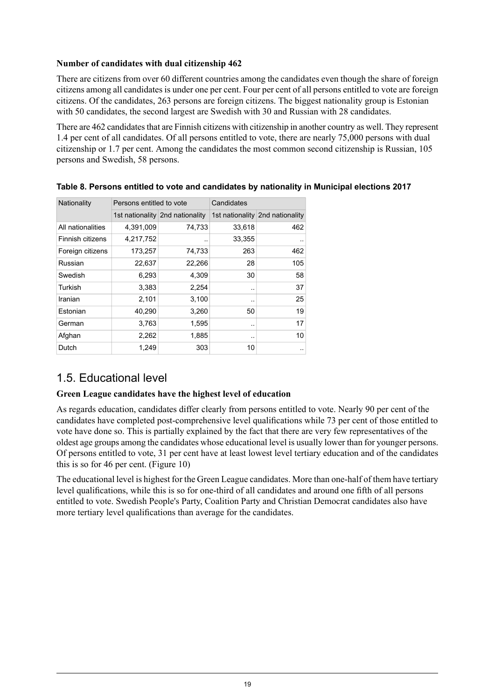#### **Number of candidates with dual citizenship 462**

There are citizens from over 60 different countries among the candidates even though the share of foreign citizens among all candidates is under one per cent. Four per cent of all persons entitled to vote are foreign citizens. Of the candidates, 263 persons are foreign citizens. The biggest nationality group is Estonian with 50 candidates, the second largest are Swedish with 30 and Russian with 28 candidates.

There are 462 candidates that are Finnish citizens with citizenship in another country as well. They represent 1.4 per cent of all candidates. Of all persons entitled to vote, there are nearly 75,000 persons with dual citizenship or 1.7 per cent. Among the candidates the most common second citizenship is Russian, 105 persons and Swedish, 58 persons.

| Nationality       | Persons entitled to vote |                                 | Candidates |                                 |  |  |
|-------------------|--------------------------|---------------------------------|------------|---------------------------------|--|--|
|                   |                          | 1st nationality 2nd nationality |            | 1st nationality 2nd nationality |  |  |
| All nationalities | 4,391,009                | 74,733                          | 33,618     | 462                             |  |  |
| Finnish citizens  | 4,217,752                |                                 | 33,355     |                                 |  |  |
| Foreign citizens  | 173,257                  | 74,733                          | 263        | 462                             |  |  |
| Russian           | 22,637                   | 22,266                          | 28         | 105                             |  |  |
| Swedish           | 6,293                    | 4,309                           | 30         | 58                              |  |  |
| Turkish           | 3,383                    | 2,254                           |            | 37                              |  |  |
| Iranian           | 2,101                    | 3,100                           | ۰.         | 25                              |  |  |
| Estonian          | 40,290                   | 3,260                           | 50         | 19                              |  |  |
| German            | 3,763                    | 1,595                           |            | 17                              |  |  |
| Afghan            | 2,262                    | 1,885                           |            | 10                              |  |  |
| Dutch             | 1,249                    | 303                             | 10         |                                 |  |  |

#### <span id="page-18-1"></span>**Table 8. Persons entitled to vote and candidates by nationality in Municipal elections 2017**

## <span id="page-18-0"></span>1.5. Educational level

#### **Green League candidates have the highest level of education**

As regards education, candidates differ clearly from persons entitled to vote. Nearly 90 per cent of the candidates have completed post-comprehensive level qualifications while 73 per cent of those entitled to vote have done so. This is partially explained by the fact that there are very few representatives of the oldest age groups among the candidates whose educational level is usually lower than for younger persons. Of persons entitled to vote, 31 per cent have at least lowest level tertiary education and of the candidates this is so for 46 per cent. (Figure 10)

The educational level is highest for the Green League candidates. More than one-half of them have tertiary level qualifications, while this is so for one-third of all candidates and around one fifth of all persons entitled to vote. Swedish People's Party, Coalition Party and Christian Democrat candidates also have more tertiary level qualifications than average for the candidates.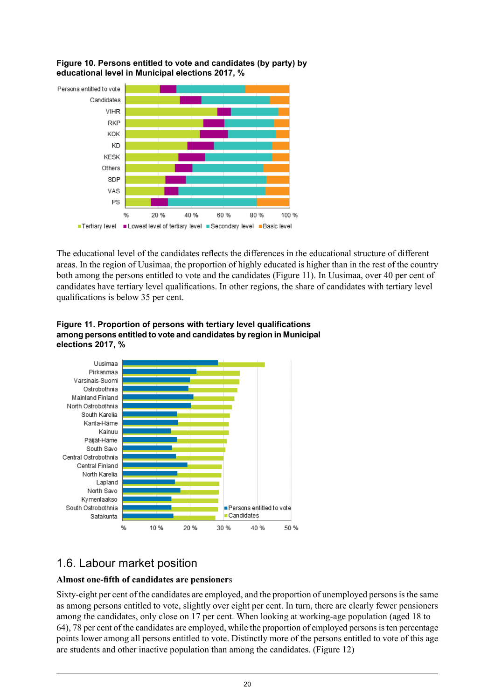![](_page_19_Figure_0.jpeg)

<span id="page-19-1"></span>![](_page_19_Figure_1.jpeg)

The educational level of the candidates reflects the differences in the educational structure of different areas. In the region of Uusimaa, the proportion of highly educated is higher than in the rest of the country both among the persons entitled to vote and the candidates (Figure 11). In Uusimaa, over 40 per cent of candidates have tertiary level qualifications. In other regions, the share of candidates with tertiary level qualifications is below 35 per cent.

<span id="page-19-2"></span>![](_page_19_Figure_3.jpeg)

![](_page_19_Figure_4.jpeg)

## <span id="page-19-0"></span>1.6. Labour market position

#### **Almost one-fifth of candidates are pensioner**s

Sixty-eight per cent of the candidates are employed, and the proportion of unemployed persons is the same as among persons entitled to vote, slightly over eight per cent. In turn, there are clearly fewer pensioners among the candidates, only close on 17 per cent. When looking at working-age population (aged 18 to 64), 78 per cent of the candidates are employed, while the proportion of employed personsisten percentage points lower among all persons entitled to vote. Distinctly more of the persons entitled to vote of this age are students and other inactive population than among the candidates. (Figure 12)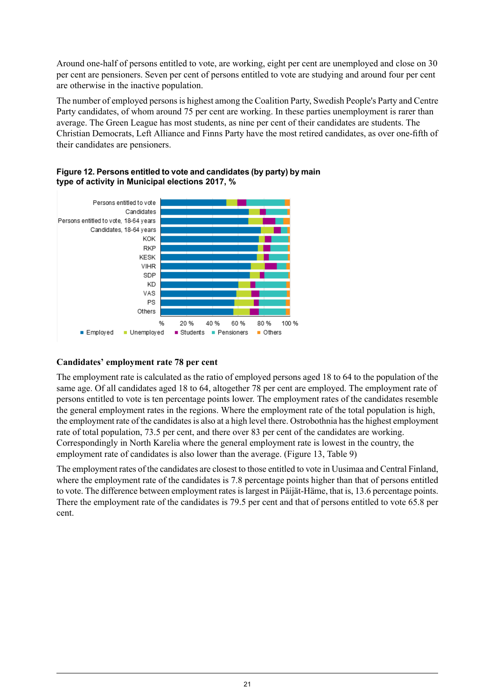Around one-half of persons entitled to vote, are working, eight per cent are unemployed and close on 30 per cent are pensioners. Seven per cent of persons entitled to vote are studying and around four per cent are otherwise in the inactive population.

The number of employed persons is highest among the Coalition Party, Swedish People's Party and Centre Party candidates, of whom around 75 per cent are working. In these parties unemployment is rarer than average. The Green League has most students, as nine per cent of their candidates are students. The Christian Democrats, Left Alliance and Finns Party have the most retired candidates, as over one-fifth of their candidates are pensioners.

![](_page_20_Figure_2.jpeg)

<span id="page-20-0"></span>![](_page_20_Figure_3.jpeg)

#### **Candidates' employment rate 78 per cent**

The employment rate is calculated as the ratio of employed persons aged 18 to 64 to the population of the same age. Of all candidates aged 18 to 64, altogether 78 per cent are employed. The employment rate of persons entitled to vote is ten percentage points lower. The employment rates of the candidates resemble the general employment rates in the regions. Where the employment rate of the total population is high, the employment rate of the candidates is also at a high level there. Ostrobothnia has the highest employment rate of total population, 73.5 per cent, and there over 83 per cent of the candidates are working. Correspondingly in North Karelia where the general employment rate is lowest in the country, the employment rate of candidates is also lower than the average. (Figure 13, Table 9)

The employment rates of the candidates are closest to those entitled to vote in Uusimaa and Central Finland, where the employment rate of the candidates is 7.8 percentage points higher than that of persons entitled to vote. The difference between employment rates is largest in Päijät-Häme, that is, 13.6 percentage points. There the employment rate of the candidates is 79.5 per cent and that of persons entitled to vote 65.8 per cent.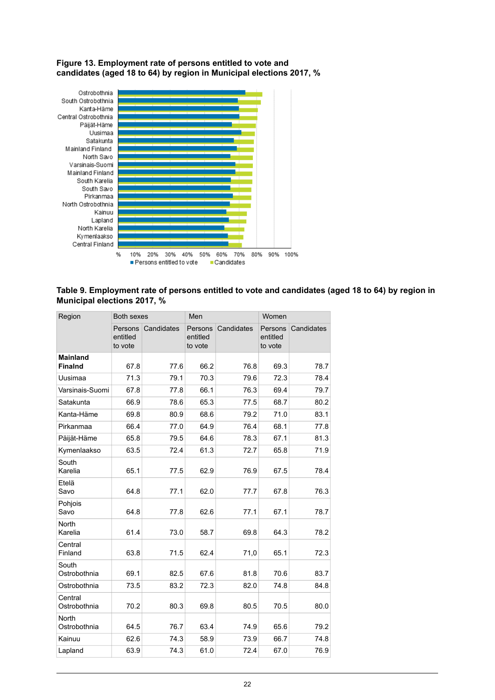#### <span id="page-21-1"></span>**Figure 13. Employment rate of persons entitled to vote and candidates (aged 18 to 64) by region in Municipal elections 2017, %**

![](_page_21_Figure_1.jpeg)

#### <span id="page-21-0"></span>**Table 9. Employment rate of persons entitled to vote and candidates (aged 18 to 64) by region in Municipal elections 2017, %**

| Region                            | <b>Both sexes</b>              |            | Men                            |            | Women                          |            |  |
|-----------------------------------|--------------------------------|------------|--------------------------------|------------|--------------------------------|------------|--|
|                                   | Persons<br>entitled<br>to vote | Candidates | Persons<br>entitled<br>to vote | Candidates | Persons<br>entitled<br>to vote | Candidates |  |
| <b>Mainland</b><br><b>Finalnd</b> | 67.8                           | 77.6       | 66.2                           | 76.8       | 69.3                           | 78.7       |  |
| Uusimaa                           | 71.3                           | 79.1       | 70.3                           | 79.6       | 72.3                           | 78.4       |  |
| Varsinais-Suomi                   | 67.8                           | 77.8       | 66.1                           | 76.3       | 69.4                           | 79.7       |  |
| Satakunta                         | 66.9                           | 78.6       | 65.3                           | 77.5       | 68.7                           | 80.2       |  |
| Kanta-Häme                        | 69.8                           | 80.9       | 68.6                           | 79.2       | 71.0                           | 83.1       |  |
| Pirkanmaa                         | 66.4                           | 77.0       | 64.9                           | 76.4       | 68.1                           | 77.8       |  |
| Päijät-Häme                       | 65.8                           | 79.5       | 64.6                           | 78.3       | 67.1                           | 81.3       |  |
| Kymenlaakso                       | 63.5                           | 72.4       | 61.3                           | 72.7       | 65.8                           | 71.9       |  |
| South<br>Karelia                  | 65.1                           | 77.5       | 62.9                           | 76.9       | 67.5                           | 78.4       |  |
| Etelä<br>Savo                     | 64.8                           | 77.1       | 62.0                           | 77.7       | 67.8                           | 76.3       |  |
| Pohjois<br>Savo                   | 64.8                           | 77.8       | 62.6                           | 77.1       | 67.1                           | 78.7       |  |
| North<br>Karelia                  | 61.4                           | 73.0       | 58.7                           | 69.8       | 64.3                           | 78.2       |  |
| Central<br>Finland                | 63.8                           | 71.5       | 62.4                           | 71,0       | 65.1                           | 72.3       |  |
| South<br>Ostrobothnia             | 69.1                           | 82.5       | 67.6                           | 81.8       | 70.6                           | 83.7       |  |
| Ostrobothnia                      | 73.5                           | 83.2       | 72.3                           | 82.0       | 74.8                           | 84.8       |  |
| Central<br>Ostrobothnia           | 70.2                           | 80.3       | 69.8                           | 80.5       | 70.5                           | 80.0       |  |
| North<br>Ostrobothnia             | 64.5                           | 76.7       | 63.4                           | 74.9       | 65.6                           | 79.2       |  |
| Kainuu                            | 62.6                           | 74.3       | 58.9                           | 73.9       | 66.7                           | 74.8       |  |
| Lapland                           | 63.9                           | 74.3       | 61.0                           | 72.4       | 67.0                           | 76.9       |  |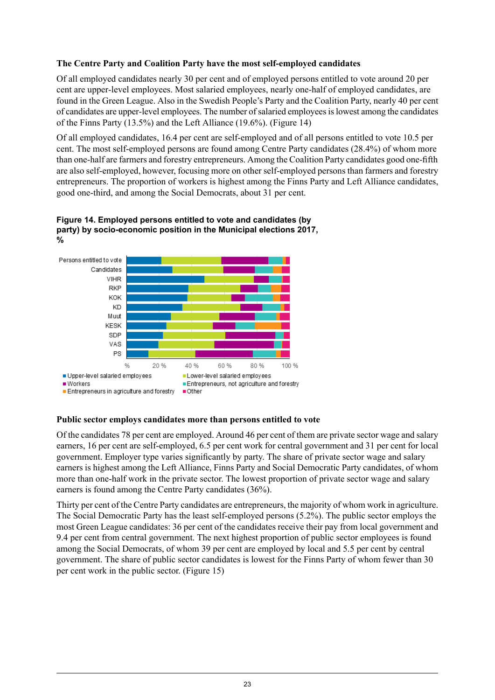#### **The Centre Party and Coalition Party have the most self-employed candidates**

Of all employed candidates nearly 30 per cent and of employed persons entitled to vote around 20 per cent are upper-level employees. Most salaried employees, nearly one-half of employed candidates, are found in the Green League. Also in the Swedish People's Party and the Coalition Party, nearly 40 per cent of candidates are upper-level employees. The number ofsalaried employeesislowest among the candidates of the Finns Party (13.5%) and the Left Alliance (19.6%). (Figure 14)

Of all employed candidates, 16.4 per cent are self-employed and of all persons entitled to vote 10.5 per cent. The most self-employed persons are found among Centre Party candidates (28.4%) of whom more than one-half are farmers and forestry entrepreneurs. Among the Coalition Party candidates good one-fifth are also self-employed, however, focusing more on other self-employed persons than farmers and forestry entrepreneurs. The proportion of workers is highest among the Finns Party and Left Alliance candidates, good one-third, and among the Social Democrats, about 31 per cent.

![](_page_22_Figure_3.jpeg)

<span id="page-22-0"></span>![](_page_22_Figure_4.jpeg)

#### **Public sector employs candidates more than persons entitled to vote**

Of the candidates 78 per cent are employed. Around 46 per cent of them are private sector wage and salary earners, 16 per cent are self-employed, 6.5 per cent work for central government and 31 per cent for local government. Employer type varies significantly by party. The share of private sector wage and salary earners is highest among the Left Alliance, Finns Party and Social Democratic Party candidates, of whom more than one-half work in the private sector. The lowest proportion of private sector wage and salary earners is found among the Centre Party candidates (36%).

Thirty per cent of the Centre Party candidates are entrepreneurs, the majority of whom work in agriculture. The Social Democratic Party has the least self-employed persons (5.2%). The public sector employs the most Green League candidates: 36 per cent of the candidates receive their pay from local government and 9.4 per cent from central government. The next highest proportion of public sector employees is found among the Social Democrats, of whom 39 per cent are employed by local and 5.5 per cent by central government. The share of public sector candidates is lowest for the Finns Party of whom fewer than 30 per cent work in the public sector. (Figure 15)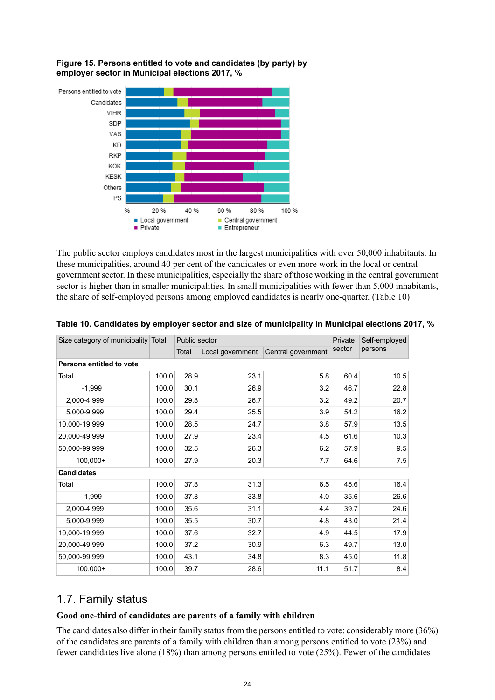<span id="page-23-2"></span>**Figure 15. Persons entitled to vote and candidates (by party) by employer sector in Municipal elections 2017, %**

![](_page_23_Figure_1.jpeg)

The public sector employs candidates most in the largest municipalities with over 50,000 inhabitants. In these municipalities, around 40 per cent of the candidates or even more work in the local or central government sector. In these municipalities, especially the share of those working in the central government sector is higher than in smaller municipalities. In small municipalities with fewer than 5,000 inhabitants, the share of self-employed persons among employed candidates is nearly one-quarter. (Table 10)

| Size category of municipality Total |       | Public sector |                  | Private            | Self-employed |         |  |
|-------------------------------------|-------|---------------|------------------|--------------------|---------------|---------|--|
|                                     |       | Total         | Local government | Central government | sector        | persons |  |
| Persons entitled to vote            |       |               |                  |                    |               |         |  |
| Total                               | 100.0 | 28.9          | 23.1             | 5.8                | 60.4          | 10.5    |  |
| $-1.999$                            | 100.0 | 30.1          | 26.9             | 3.2                | 46.7          | 22.8    |  |
| 2,000-4,999                         | 100.0 | 29.8          | 26.7             | 3.2                | 49.2          | 20.7    |  |
| 5,000-9,999                         | 100.0 | 29.4          | 25.5             | 3.9                | 54.2          | 16.2    |  |
| 10,000-19,999                       | 100.0 | 28.5          | 24.7             | 3.8                | 57.9          | 13.5    |  |
| 20,000-49,999                       | 100.0 | 27.9          | 23.4             | 4.5                | 61.6          | 10.3    |  |
| 50,000-99,999                       | 100.0 | 32.5          | 26.3             | 6.2                | 57.9          | 9.5     |  |
| 100,000+                            | 100.0 | 27.9          | 20.3             | 7.7                | 64.6          | 7.5     |  |
| <b>Candidates</b>                   |       |               |                  |                    |               |         |  |
| Total                               | 100.0 | 37.8          | 31.3             | 6.5                | 45.6          | 16.4    |  |
| $-1,999$                            | 100.0 | 37.8          | 33.8             | 4.0                | 35.6          | 26.6    |  |
| 2,000-4,999                         | 100.0 | 35.6          | 31.1             | 4.4                | 39.7          | 24.6    |  |
| 5,000-9,999                         | 100.0 | 35.5          | 30.7             | 4.8                | 43.0          | 21.4    |  |
| 10,000-19,999                       | 100.0 | 37.6          | 32.7             | 4.9                | 44.5          | 17.9    |  |
| 20,000-49,999                       | 100.0 | 37.2          | 30.9             | 6.3                | 49.7          | 13.0    |  |
| 50,000-99,999                       | 100.0 | 43.1          | 34.8             | 8.3                | 45.0          | 11.8    |  |
| 100,000+                            | 100.0 | 39.7          | 28.6             | 11.1               | 51.7          | 8.4     |  |

<span id="page-23-1"></span>

| Table 10. Candidates by employer sector and size of municipality in Municipal elections 2017, % |  |  |
|-------------------------------------------------------------------------------------------------|--|--|
|                                                                                                 |  |  |

## <span id="page-23-0"></span>1.7. Family status

#### **Good one-third of candidates are parents of a family with children**

The candidates also differ in their family status from the persons entitled to vote: considerably more (36%) of the candidates are parents of a family with children than among persons entitled to vote (23%) and fewer candidates live alone (18%) than among persons entitled to vote (25%). Fewer of the candidates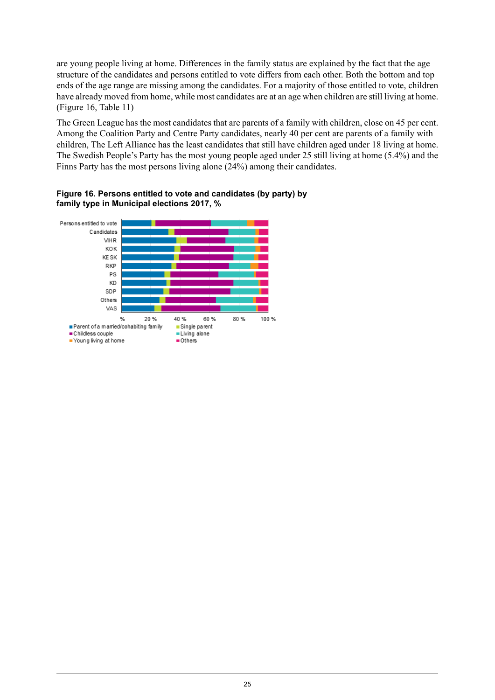are young people living at home. Differences in the family status are explained by the fact that the age structure of the candidates and persons entitled to vote differs from each other. Both the bottom and top ends of the age range are missing among the candidates. For a majority of those entitled to vote, children have already moved from home, while most candidates are at an age when children are still living at home. (Figure 16, Table 11)

The Green League has the most candidates that are parents of a family with children, close on 45 per cent. Among the Coalition Party and Centre Party candidates, nearly 40 per cent are parents of a family with children, The Left Alliance has the least candidates that still have children aged under 18 living at home. The Swedish People's Party has the most young people aged under 25 still living at home (5.4%) and the Finns Party has the most persons living alone (24%) among their candidates.

<span id="page-24-0"></span>**Figure 16. Persons entitled to vote and candidates (by party) by family type in Municipal elections 2017, %**

![](_page_24_Figure_3.jpeg)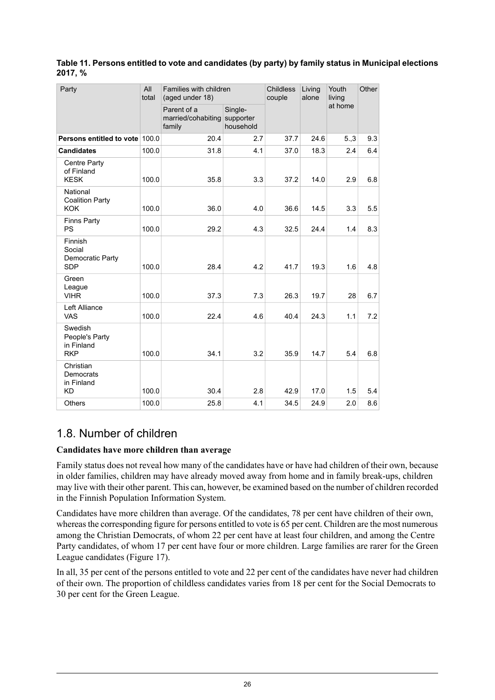#### <span id="page-25-1"></span>**Table 11. Persons entitled to vote and candidates (by party) by family status in Municipal elections 2017, %**

| Party                                                 | All<br>total | Families with children<br>(aged under 18)   |                                   | <b>Childless</b><br>couple | Living<br>alone | Youth<br>living | Other |
|-------------------------------------------------------|--------------|---------------------------------------------|-----------------------------------|----------------------------|-----------------|-----------------|-------|
|                                                       |              | Parent of a<br>married/cohabiting<br>family | Single-<br>supporter<br>household |                            |                 | at home         |       |
| Persons entitled to vote 100.0                        |              | 20.4                                        | 2.7                               | 37.7                       | 24.6            | 5,3             | 9.3   |
| <b>Candidates</b>                                     | 100.0        | 31.8                                        | 4.1                               | 37.0                       | 18.3            | 2.4             | 6.4   |
| Centre Party<br>of Finland<br><b>KESK</b>             | 100.0        | 35.8                                        | 3.3                               | 37.2                       | 14.0            | 2.9             | 6.8   |
| National<br><b>Coalition Party</b><br><b>KOK</b>      | 100.0        | 36.0                                        | 4.0                               | 36.6                       | 14.5            | 3.3             | 5.5   |
| <b>Finns Party</b><br><b>PS</b>                       | 100.0        | 29.2                                        | 4.3                               | 32.5                       | 24.4            | 1.4             | 8.3   |
| Finnish<br>Social<br>Democratic Party<br><b>SDP</b>   | 100.0        | 28.4                                        | 4.2                               | 41.7                       | 19.3            | 1.6             | 4.8   |
| Green<br>League<br><b>VIHR</b>                        | 100.0        | 37.3                                        | 7.3                               | 26.3                       | 19.7            | 28              | 6.7   |
| Left Alliance<br><b>VAS</b>                           | 100.0        | 22.4                                        | 4.6                               | 40.4                       | 24.3            | 1.1             | 7.2   |
| Swedish<br>People's Party<br>in Finland<br><b>RKP</b> | 100.0        | 34.1                                        | 3.2                               | 35.9                       | 14.7            | 5.4             | 6.8   |
| Christian<br>Democrats<br>in Finland<br><b>KD</b>     | 100.0        | 30.4                                        | 2.8                               | 42.9                       | 17.0            | 1.5             | 5.4   |
| <b>Others</b>                                         | 100.0        | 25.8                                        | 4.1                               | 34.5                       | 24.9            | 2.0             | 8.6   |

## <span id="page-25-0"></span>1.8. Number of children

#### **Candidates have more children than average**

Family status does not reveal how many of the candidates have or have had children of their own, because in older families, children may have already moved away from home and in family break-ups, children may live with their other parent. This can, however, be examined based on the number of children recorded in the Finnish Population Information System.

Candidates have more children than average. Of the candidates, 78 per cent have children of their own, whereas the corresponding figure for persons entitled to vote is 65 per cent. Children are the most numerous among the Christian Democrats, of whom 22 per cent have at least four children, and among the Centre Party candidates, of whom 17 per cent have four or more children. Large families are rarer for the Green League candidates (Figure 17).

In all, 35 per cent of the persons entitled to vote and 22 per cent of the candidates have never had children of their own. The proportion of childless candidates varies from 18 per cent for the Social Democrats to 30 per cent for the Green League.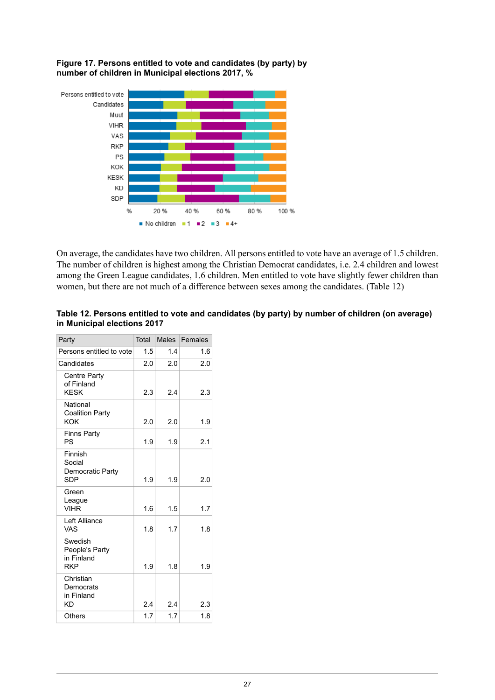<span id="page-26-1"></span>**Figure 17. Persons entitled to vote and candidates (by party) by number of children in Municipal elections 2017, %**

![](_page_26_Figure_1.jpeg)

<span id="page-26-0"></span>On average, the candidates have two children. All persons entitled to vote have an average of 1.5 children. The number of children is highest among the Christian Democrat candidates, i.e. 2.4 children and lowest among the Green League candidates, 1.6 children. Men entitled to vote have slightly fewer children than women, but there are not much of a difference between sexes among the candidates. (Table 12)

| Table 12. Persons entitled to vote and candidates (by party) by number of children (on average) |  |
|-------------------------------------------------------------------------------------------------|--|
| in Municipal elections 2017                                                                     |  |

| Party                                                 | <b>Total</b> | Males | Females |
|-------------------------------------------------------|--------------|-------|---------|
| Persons entitled to vote                              | 1.5          | 14    | 1.6     |
| Candidates                                            | 2.0          | 2.0   | 2.0     |
| <b>Centre Party</b><br>of Finland<br><b>KESK</b>      | 2.3          | 24    | 2.3     |
| National<br><b>Coalition Party</b><br>KOK             | 2.0          | 2.0   | 1.9     |
| <b>Finns Party</b><br>PS                              | 1.9          | 1.9   | 2.1     |
| Finnish<br>Social<br>Democratic Party<br><b>SDP</b>   | 1.9          | 1.9   | 2.0     |
| Green<br>League<br><b>VIHR</b>                        | 1.6          | 1.5   | 1.7     |
| Left Alliance<br>VAS                                  | 1.8          | 1.7   | 1.8     |
| Swedish<br>People's Party<br>in Finland<br><b>RKP</b> | 1.9          | 1.8   | 1.9     |
| Christian<br>Democrats<br>in Finland<br>ΚD            | 2.4          | 24    | 2.3     |
| Others                                                | 1.7          | 1.7   | 1.8     |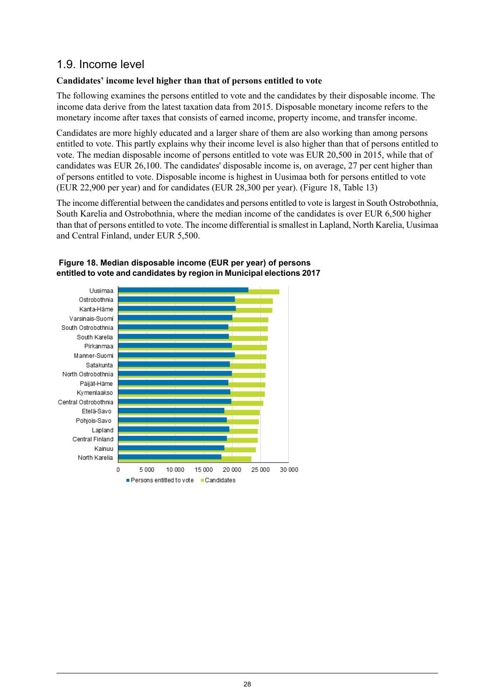### <span id="page-27-0"></span>1.9. Income level

#### **Candidates' income level higher than that of persons entitled to vote**

The following examines the persons entitled to vote and the candidates by their disposable income. The income data derive from the latest taxation data from 2015. Disposable monetary income refers to the monetary income after taxes that consists of earned income, property income, and transfer income.

Candidates are more highly educated and a larger share of them are also working than among persons entitled to vote. This partly explains why their income level is also higher than that of persons entitled to vote. The median disposable income of persons entitled to vote was EUR 20,500 in 2015, while that of candidates was EUR 26,100. The candidates' disposable income is, on average, 27 per cent higher than of persons entitled to vote. Disposable income is highest in Uusimaa both for persons entitled to vote (EUR 22,900 per year) and for candidates (EUR 28,300 per year). (Figure 18, Table 13)

The income differential between the candidates and persons entitled to vote islargest in South Ostrobothnia, South Karelia and Ostrobothnia, where the median income of the candidates is over EUR 6,500 higher than that of persons entitled to vote. The income differential issmallest in Lapland, North Karelia, Uusimaa and Central Finland, under EUR 5,500.

![](_page_27_Figure_5.jpeg)

#### <span id="page-27-1"></span>**Figure 18. Median disposable income (EUR per year) of persons entitled to vote and candidates by region in Municipal elections 2017**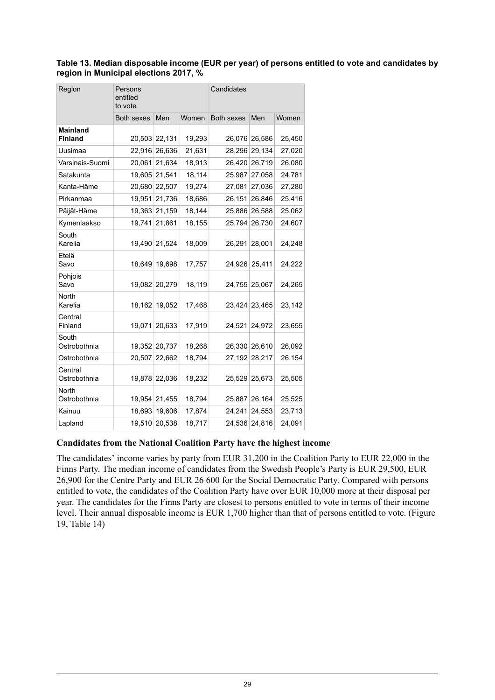#### <span id="page-28-0"></span>**Table 13. Median disposable income (EUR per year) of persons entitled to vote and candidates by region in Municipal elections 2017, %**

| Region                            | Persons<br>entitled<br>to vote |               |        | Candidates        |               |        |  |  |
|-----------------------------------|--------------------------------|---------------|--------|-------------------|---------------|--------|--|--|
|                                   | <b>Both sexes</b>              | Men           | Women  | <b>Both sexes</b> | Men           | Women  |  |  |
| <b>Mainland</b><br><b>Finland</b> |                                | 20,503 22,131 | 19,293 | 26,076            | 26,586        | 25,450 |  |  |
| Uusimaa                           |                                | 22,916 26,636 | 21,631 | 28,296            | 29,134        | 27,020 |  |  |
| Varsinais-Suomi                   |                                | 20,061 21,634 | 18,913 | 26,420            | 26,719        | 26,080 |  |  |
| Satakunta                         |                                | 19,605 21,541 | 18,114 | 25,987            | 27,058        | 24,781 |  |  |
| Kanta-Häme                        |                                | 20,680 22,507 | 19,274 | 27,081            | 27,036        | 27,280 |  |  |
| Pirkanmaa                         |                                | 19,951 21,736 | 18,686 | 26,151            | 26,846        | 25,416 |  |  |
| Päijät-Häme                       |                                | 19,363 21,159 | 18,144 | 25,886            | 26,588        | 25,062 |  |  |
| Kymenlaakso                       |                                | 19,741 21,861 | 18,155 | 25,794            | 26,730        | 24,607 |  |  |
| South<br>Karelia                  |                                | 19,490 21,524 | 18,009 | 26,291            | 28,001        | 24,248 |  |  |
| Etelä<br>Savo                     |                                | 18,649 19,698 | 17,757 | 24,926            | 25,411        | 24,222 |  |  |
| Pohjois<br>Savo                   |                                | 19,082 20,279 | 18,119 | 24,755            | 25,067        | 24,265 |  |  |
| North<br>Karelia                  |                                | 18,162 19,052 | 17,468 | 23,424            | 23,465        | 23,142 |  |  |
| Central<br>Finland                |                                | 19,071 20,633 | 17,919 | 24,521            | 24,972        | 23,655 |  |  |
| South<br>Ostrobothnia             |                                | 19,352 20,737 | 18,268 | 26,330            | 26,610        | 26,092 |  |  |
| Ostrobothnia                      | 20,507                         | 22,662        | 18,794 | 27,192            | 28,217        | 26,154 |  |  |
| Central<br>Ostrobothnia           |                                | 19,878 22,036 | 18,232 | 25,529            | 25,673        | 25,505 |  |  |
| North<br>Ostrobothnia             |                                | 19,954 21,455 | 18,794 | 25,887            | 26,164        | 25,525 |  |  |
| Kainuu                            |                                | 18,693 19,606 | 17,874 | 24,241            | 24,553        | 23,713 |  |  |
| Lapland                           |                                | 19,510 20,538 | 18,717 |                   | 24,536 24,816 | 24,091 |  |  |

#### **Candidates from the National Coalition Party have the highest income**

The candidates' income varies by party from EUR 31,200 in the Coalition Party to EUR 22,000 in the Finns Party. The median income of candidates from the Swedish People's Party is EUR 29,500, EUR 26,900 for the Centre Party and EUR 26 600 for the Social Democratic Party. Compared with persons entitled to vote, the candidates of the Coalition Party have over EUR 10,000 more at their disposal per year. The candidates for the Finns Party are closest to persons entitled to vote in terms of their income level. Their annual disposable income is EUR 1,700 higher than that of persons entitled to vote. (Figure 19, Table 14)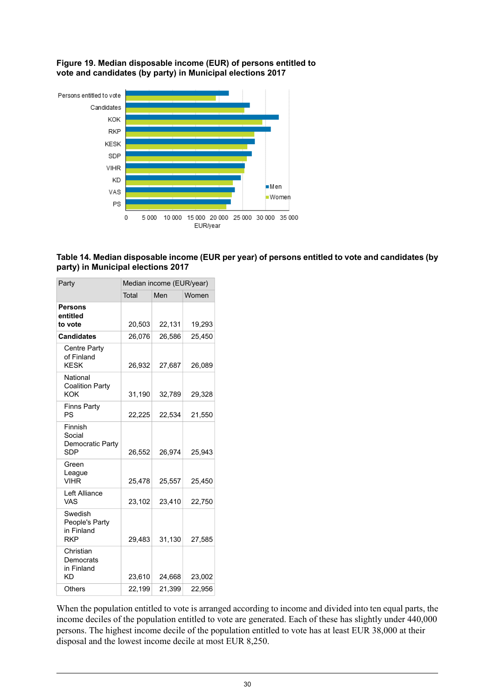<span id="page-29-1"></span>**Figure 19. Median disposable income (EUR) of persons entitled to vote and candidates (by party) in Municipal elections 2017**

![](_page_29_Figure_1.jpeg)

<span id="page-29-0"></span>![](_page_29_Figure_2.jpeg)

| Party                                                 | Median income (EUR/year) |        |        |  |  |  |  |  |
|-------------------------------------------------------|--------------------------|--------|--------|--|--|--|--|--|
|                                                       | Total                    | Men    | Women  |  |  |  |  |  |
| <b>Persons</b><br>entitled<br>to vote                 | 20,503                   | 22,131 | 19,293 |  |  |  |  |  |
| <b>Candidates</b>                                     | 26,076                   | 26,586 | 25,450 |  |  |  |  |  |
| <b>Centre Party</b><br>of Finland<br><b>KESK</b>      | 26,932                   | 27,687 | 26,089 |  |  |  |  |  |
| National<br><b>Coalition Party</b><br>KOK             | 31,190                   | 32,789 | 29,328 |  |  |  |  |  |
| <b>Finns Party</b><br>PS                              | 22,225                   | 22,534 | 21,550 |  |  |  |  |  |
| Finnish<br>Social<br>Democratic Party<br>SDP          | 26,552                   | 26.974 | 25.943 |  |  |  |  |  |
| Green<br>League<br><b>VIHR</b>                        | 25,478                   | 25,557 | 25,450 |  |  |  |  |  |
| Left Alliance<br>VAS                                  | 23,102                   | 23,410 | 22,750 |  |  |  |  |  |
| Swedish<br>People's Party<br>in Finland<br><b>RKP</b> | 29,483                   | 31,130 | 27,585 |  |  |  |  |  |
| Christian<br>Democrats<br>in Finland<br>ΚD            | 23,610                   | 24,668 | 23,002 |  |  |  |  |  |
| Others                                                | 22,199                   | 21,399 | 22,956 |  |  |  |  |  |

When the population entitled to vote is arranged according to income and divided into ten equal parts, the income deciles of the population entitled to vote are generated. Each of these has slightly under 440,000 persons. The highest income decile of the population entitled to vote has at least EUR 38,000 at their disposal and the lowest income decile at most EUR 8,250.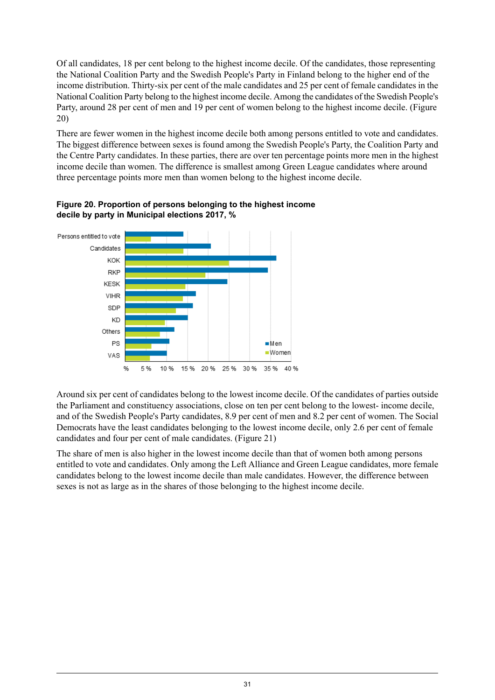Of all candidates, 18 per cent belong to the highest income decile. Of the candidates, those representing the National Coalition Party and the Swedish People's Party in Finland belong to the higher end of the income distribution. Thirty-six per cent of the male candidates and 25 per cent of female candidates in the National Coalition Party belong to the highest income decile. Among the candidates of the Swedish People's Party, around 28 per cent of men and 19 per cent of women belong to the highest income decile. (Figure 20)

There are fewer women in the highest income decile both among persons entitled to vote and candidates. The biggest difference between sexes is found among the Swedish People's Party, the Coalition Party and the Centre Party candidates. In these parties, there are over ten percentage points more men in the highest income decile than women. The difference is smallest among Green League candidates where around three percentage points more men than women belong to the highest income decile.

![](_page_30_Figure_2.jpeg)

<span id="page-30-0"></span>**Figure 20. Proportion of persons belonging to the highest income decile by party in Municipal elections 2017, %**

Around six per cent of candidates belong to the lowest income decile. Of the candidates of parties outside the Parliament and constituency associations, close on ten per cent belong to the lowest- income decile, and of the Swedish People's Party candidates, 8.9 per cent of men and 8.2 per cent of women. The Social Democrats have the least candidates belonging to the lowest income decile, only 2.6 per cent of female candidates and four per cent of male candidates. (Figure 21)

The share of men is also higher in the lowest income decile than that of women both among persons entitled to vote and candidates. Only among the Left Alliance and Green League candidates, more female candidates belong to the lowest income decile than male candidates. However, the difference between sexes is not as large as in the shares of those belonging to the highest income decile.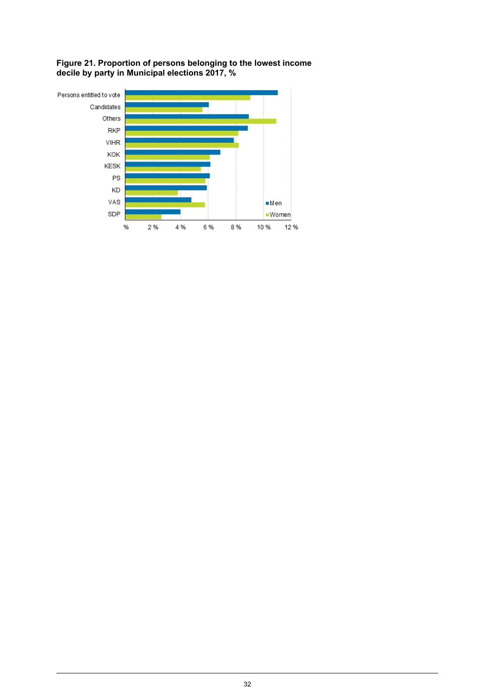<span id="page-31-0"></span>**Figure 21. Proportion of persons belonging to the lowest income decile by party in Municipal elections 2017, %**

![](_page_31_Figure_1.jpeg)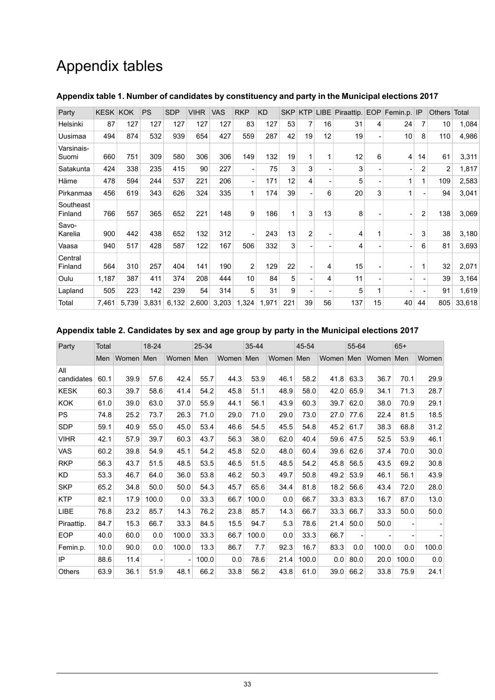## Appendix tables

| Party                | <b>KESK</b> | <b>KOK</b> | <b>PS</b> | <b>SDP</b> | <b>VIHR</b> | VAS   | <b>RKP</b>               | <b>KD</b> | <b>SKP</b> | <b>KTP</b> | LIBE |     |    | Piraattip. EOP Femin.p. IP |    | <b>Others</b>  | Total  |
|----------------------|-------------|------------|-----------|------------|-------------|-------|--------------------------|-----------|------------|------------|------|-----|----|----------------------------|----|----------------|--------|
| Helsinki             | 87          | 127        | 127       | 127        | 127         | 127   | 83                       | 127       | 53         | 7          | 16   | 31  | 4  | 24                         |    | 10             | 1,084  |
| Uusimaa              | 494         | 874        | 532       | 939        | 654         | 427   | 559                      | 287       | 42         | 19         | 12   | 19  |    | 10                         | 8  | 110            | 4,986  |
| Varsinais-<br>Suomi  | 660         | 751        | 309       | 580        | 306         | 306   | 149                      | 132       | 19         |            | 1    | 12  | 6  | 4                          | 14 | 61             | 3,311  |
| Satakunta            | 424         | 338        | 235       | 415        | 90          | 227   |                          | 75        | 3          | 3          |      | 3   |    |                            | 2  | $\overline{2}$ | 1,817  |
| Häme                 | 478         | 594        | 244       | 537        | 221         | 206   | $\overline{\phantom{a}}$ | 171       | 12         | 4          |      | 5   |    | 1                          |    | 109            | 2,583  |
| Pirkanmaa            | 456         | 619        | 343       | 626        | 324         | 335   | 1                        | 174       | 39         |            | 6    | 20  | 3  | 1                          |    | 94             | 3,041  |
| Southeast<br>Finland | 766         | 557        | 365       | 652        | 221         | 148   | 9                        | 186       | 1          | 3          | 13   | 8   |    |                            | 2  | 138            | 3,069  |
| Savo-<br>Karelia     | 900         | 442        | 438       | 652        | 132         | 312   | ۰                        | 243       | 13         | 2          |      | 4   | 1  |                            | 3  | 38             | 3,180  |
| Vaasa                | 940         | 517        | 428       | 587        | 122         | 167   | 506                      | 332       | 3          |            |      | 4   |    |                            | 6  | 81             | 3,693  |
| Central<br>Finland   | 564         | 310        | 257       | 404        | 141         | 190   | $\overline{2}$           | 129       | 22         |            | 4    | 15  |    |                            |    | 32             | 2,071  |
| Oulu                 | 1,187       | 387        | 411       | 374        | 208         | 444   | 10                       | 84        | 5          |            | 4    | 11  |    |                            |    | 39             | 3,164  |
| Lapland              | 505         | 223        | 142       | 239        | 54          | 314   | 5                        | 31        | 9          |            |      | 5   | 1  |                            |    | 91             | 1,619  |
| Total                | 7,461       | 5,739      | 3,831     | 6,132      | 2,600       | 3,203 | 1,324                    | 1,971     | 221        | 39         | 56   | 137 | 15 | 40                         | 44 | 805            | 33,618 |

#### <span id="page-32-0"></span>**Appendix table 1. Number of candidates by constituency and party in the Municipal elections 2017**

#### <span id="page-32-1"></span>**Appendix table 2. Candidates by sex and age group by party in the Municipal elections 2017**

| Party             | Total |       | 18-24 |                          | 25-34 |       | 35-44 |           | 45-54 |       | 55-64 |           | $65+$ |                |
|-------------------|-------|-------|-------|--------------------------|-------|-------|-------|-----------|-------|-------|-------|-----------|-------|----------------|
|                   | Men   | Women | Men   | Women                    | Men   | Women | Men   | Women Men |       | Women | Men   | Women Men |       | Women          |
| All<br>candidates | 60.1  | 39.9  | 57.6  | 42.4                     | 55.7  | 44.3  | 53.9  | 46.1      | 58.2  | 41.8  | 63.3  | 36.7      | 70.1  | 29.9           |
| <b>KESK</b>       | 60.3  | 39.7  | 58.6  | 41.4                     | 54.2  | 45.8  | 51.1  | 48.9      | 58.0  | 42.0  | 65.9  | 34.1      | 71.3  | 28.7           |
| <b>KOK</b>        | 61.0  | 39.0  | 63.0  | 37.0                     | 55.9  | 44.1  | 56.1  | 43.9      | 60.3  | 39.7  | 62.0  | 38.0      | 70.9  | 29.1           |
| <b>PS</b>         | 74.8  | 25.2  | 73.7  | 26.3                     | 71.0  | 29.0  | 71.0  | 29.0      | 73.0  | 27.0  | 77.6  | 22.4      | 81.5  | 18.5           |
| <b>SDP</b>        | 59.1  | 40.9  | 55.0  | 45.0                     | 53.4  | 46.6  | 54.5  | 45.5      | 54.8  | 45.2  | 61.7  | 38.3      | 68.8  | 31.2           |
| <b>VIHR</b>       | 42.1  | 57.9  | 39.7  | 60.3                     | 43.7  | 56.3  | 38.0  | 62.0      | 40.4  | 59.6  | 47.5  | 52.5      | 53.9  | 46.1           |
| VAS               | 60.2  | 39.8  | 54.9  | 45.1                     | 54.2  | 45.8  | 52.0  | 48.0      | 60.4  | 39.6  | 62.6  | 37.4      | 70.0  | 30.0           |
| <b>RKP</b>        | 56.3  | 43.7  | 51.5  | 48.5                     | 53.5  | 46.5  | 51.5  | 48.5      | 54.2  | 45.8  | 56.5  | 43.5      | 69.2  | 30.8           |
| KD                | 53.3  | 46.7  | 64.0  | 36.0                     | 53.8  | 46.2  | 50.3  | 49.7      | 50.8  | 49.2  | 53.9  | 46.1      | 56.1  | 43.9           |
| <b>SKP</b>        | 65.2  | 34.8  | 50.0  | 50.0                     | 54.3  | 45.7  | 65.6  | 34.4      | 81.8  | 18.2  | 56.6  | 43.4      | 72.0  | 28.0           |
| <b>KTP</b>        | 82.1  | 17.9  | 100.0 | 0.0                      | 33.3  | 66.7  | 100.0 | 0.0       | 66.7  | 33.3  | 83.3  | 16.7      | 87.0  | 13.0           |
| LIBE              | 76.8  | 23.2  | 85.7  | 14.3                     | 76.2  | 23.8  | 85.7  | 14.3      | 66.7  | 33.3  | 66.7  | 33.3      | 50.0  | 50.0           |
| Piraattip.        | 84.7  | 15.3  | 66.7  | 33.3                     | 84.5  | 15.5  | 94.7  | 5.3       | 78.6  | 21.4  | 50.0  | 50.0      |       |                |
| <b>EOP</b>        | 40.0  | 60.0  | 0.0   | 100.0                    | 33.3  | 66.7  | 100.0 | 0.0       | 33.3  | 66.7  |       |           |       | $\overline{a}$ |
| Femin.p.          | 10.0  | 90.0  | 0.0   | 100.0                    | 13.3  | 86.7  | 7.7   | 92.3      | 16.7  | 83.3  | 0.0   | 100.0     | 0.0   | 100.0          |
| IP                | 88.6  | 11.4  |       | $\overline{\phantom{a}}$ | 100.0 | 0.0   | 78.6  | 21.4      | 100.0 | 0.0   | 80.0  | 20.0      | 100.0 | 0.0            |
| <b>Others</b>     | 63.9  | 36.1  | 51.9  | 48.1                     | 66.2  | 33.8  | 56.2  | 43.8      | 61.0  | 39.0  | 66.2  | 33.8      | 75.9  | 24.1           |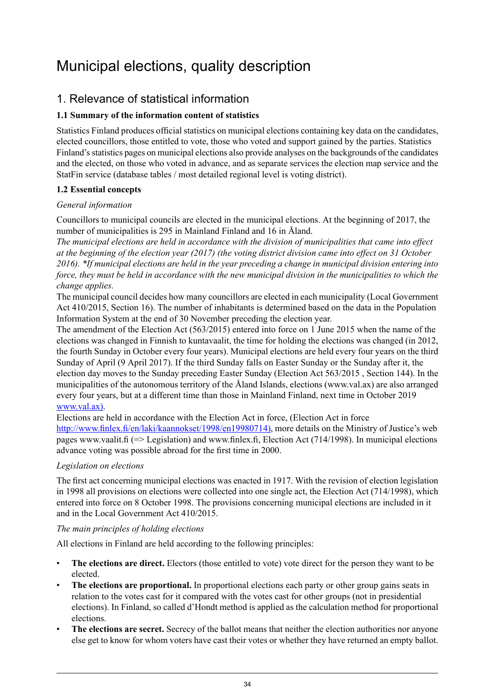## <span id="page-33-0"></span>Municipal elections, quality description

## 1. Relevance of statistical information

### **1.1 Summary of the information content of statistics**

Statistics Finland produces official statistics on municipal elections containing key data on the candidates, elected councillors, those entitled to vote, those who voted and support gained by the parties. Statistics Finland's statistics pages on municipal elections also provide analyses on the backgrounds of the candidates and the elected, on those who voted in advance, and as separate services the election map service and the StatFin service (database tables / most detailed regional level is voting district).

#### **1.2 Essential concepts**

#### *General information*

Councillors to municipal councils are elected in the municipal elections. At the beginning of 2017, the number of municipalities is 295 in Mainland Finland and 16 in Åland.

*The municipal elections are held in accordance with the division of municipalities that came into effect* at the beginning of the election year (2017) (the voting district division came into effect on 31 October 2016). \*If municipal elections are held in the year preceding a change in municipal division entering into force, they must be held in accordance with the new municipal division in the municipalities to which the *change applies.*

The municipal council decides how many councillors are elected in each municipality (Local Government Act 410/2015, Section 16). The number of inhabitants is determined based on the data in the Population Information System at the end of 30 November preceding the election year.

The amendment of the Election Act (563/2015) entered into force on 1 June 2015 when the name of the elections was changed in Finnish to kuntavaalit, the time for holding the elections was changed (in 2012, the fourth Sunday in October every four years). Municipal elections are held every four years on the third Sunday of April (9 April 2017). If the third Sunday falls on Easter Sunday or the Sunday after it, the election day moves to the Sunday preceding Easter Sunday (Election Act 563/2015 , Section 144). In the municipalities of the autonomous territory of the Åland Islands, elections (www.val.ax) are also arranged every four years, but at a different time than those in Mainland Finland, next time in October 2019 [www.val.ax\)](http://www.val.ax).

Elections are held in accordance with the Election Act in force, (Election Act in force [http://www.finlex.fi/en/laki/kaannokset/1998/en19980714\),](http://www.finlex.fi/en/laki/kaannokset/1998/en19980714) more details on the Ministry of Justice's web pages www.vaalit.fi (=> Legislation) and www.finlex.fi, Election Act (714/1998). In municipal elections advance voting was possible abroad for the first time in 2000.

#### *Legislation on elections*

The first act concerning municipal elections was enacted in 1917. With the revision of election legislation in 1998 all provisions on elections were collected into one single act, the Election Act (714/1998), which entered into force on 8 October 1998. The provisions concerning municipal elections are included in it and in the Local Government Act 410/2015.

#### *The main principles of holding elections*

All elections in Finland are held according to the following principles:

- **The elections are direct.** Electors (those entitled to vote) vote direct for the person they want to be elected.
- **The elections are proportional.** In proportional elections each party or other group gains seats in relation to the votes cast for it compared with the votes cast for other groups (not in presidential elections). In Finland, so called d'Hondt method is applied as the calculation method for proportional elections.
- **The elections are secret.** Secrecy of the ballot means that neither the election authorities nor anyone else get to know for whom voters have cast their votes or whether they have returned an empty ballot.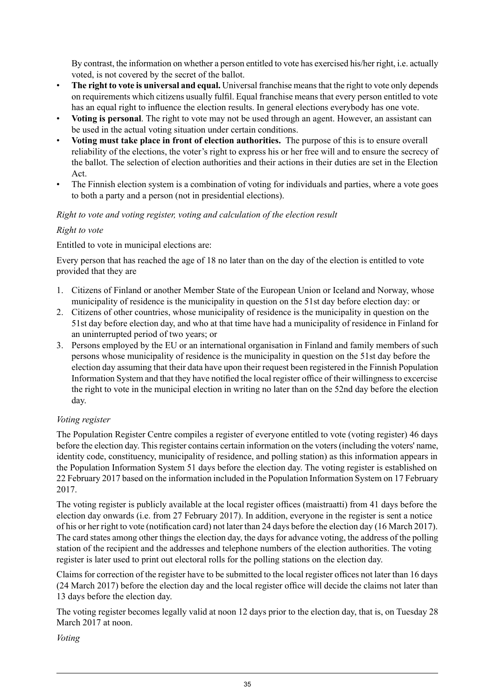By contrast, the information on whether a person entitled to vote has exercised his/her right, i.e. actually voted, is not covered by the secret of the ballot.

- **The right to vote is universal and equal.** Universal franchise meansthat the right to vote only depends on requirements which citizens usually fulfil. Equal franchise means that every person entitled to vote has an equal right to influence the election results. In general elections everybody has one vote.
- **Voting is personal**. The right to vote may not be used through an agent. However, an assistant can be used in the actual voting situation under certain conditions.
- **Voting must take place in front of election authorities.** The purpose of this is to ensure overall reliability of the elections, the voter's right to express his or her free will and to ensure the secrecy of the ballot. The selection of election authorities and their actions in their duties are set in the Election Act.
- The Finnish election system is a combination of voting for individuals and parties, where a vote goes to both a party and a person (not in presidential elections).

#### *Right to vote and voting register, voting and calculation of the election result*

#### *Right to vote*

Entitled to vote in municipal elections are:

Every person that has reached the age of 18 no later than on the day of the election is entitled to vote provided that they are

- 1. Citizens of Finland or another Member State of the European Union or Iceland and Norway, whose municipality of residence is the municipality in question on the 51st day before election day: or
- 2. Citizens of other countries, whose municipality of residence is the municipality in question on the 51st day before election day, and who at that time have had a municipality of residence in Finland for an uninterrupted period of two years; or
- 3. Persons employed by the EU or an international organisation in Finland and family members of such persons whose municipality of residence is the municipality in question on the 51st day before the election day assuming that their data have upon their request been registered in the Finnish Population Information System and that they have notified the local register office of their willingnessto excercise the right to vote in the municipal election in writing no later than on the 52nd day before the election day.

#### *Voting register*

The Population Register Centre compiles a register of everyone entitled to vote (voting register) 46 days before the election day. This register contains certain information on the voters (including the voters' name, identity code, constituency, municipality of residence, and polling station) as this information appears in the Population Information System 51 days before the election day. The voting register is established on 22 February 2017 based on the information included in the Population Information System on 17 February 2017.

The voting register is publicly available at the local register offices (maistraatti) from 41 days before the election day onwards (i.e. from 27 February 2017). In addition, everyone in the register is sent a notice of his or her right to vote (notification card) not later than 24 days before the election day (16 March 2017). The card states among other things the election day, the days for advance voting, the address of the polling station of the recipient and the addresses and telephone numbers of the election authorities. The voting register is later used to print out electoral rolls for the polling stations on the election day.

Claims for correction of the register have to be submitted to the local register offices not later than 16 days (24 March 2017) before the election day and the local register office will decide the claims not later than 13 days before the election day.

The voting register becomes legally valid at noon 12 days prior to the election day, that is, on Tuesday 28 March 2017 at noon.

*Voting*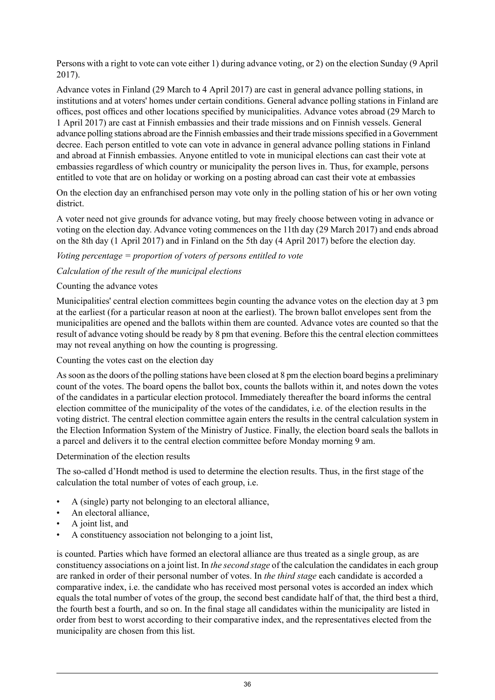Persons with a right to vote can vote either 1) during advance voting, or 2) on the election Sunday (9 April 2017).

Advance votes in Finland (29 March to 4 April 2017) are cast in general advance polling stations, in institutions and at voters' homes under certain conditions. General advance polling stations in Finland are offices, post offices and other locations specified by municipalities. Advance votes abroad (29 March to 1 April 2017) are cast at Finnish embassies and their trade missions and on Finnish vessels. General advance polling stations abroad are the Finnish embassies and their trade missions specified in a Government decree. Each person entitled to vote can vote in advance in general advance polling stations in Finland and abroad at Finnish embassies. Anyone entitled to vote in municipal elections can cast their vote at embassies regardless of which country or municipality the person lives in. Thus, for example, persons entitled to vote that are on holiday or working on a posting abroad can cast their vote at embassies

On the election day an enfranchised person may vote only in the polling station of his or her own voting district.

A voter need not give grounds for advance voting, but may freely choose between voting in advance or voting on the election day. Advance voting commences on the 11th day (29 March 2017) and ends abroad on the 8th day (1 April 2017) and in Finland on the 5th day (4 April 2017) before the election day.

#### *Voting percentage = proportion of voters of persons entitled to vote*

#### *Calculation of the result of the municipal elections*

#### Counting the advance votes

Municipalities' central election committees begin counting the advance votes on the election day at 3 pm at the earliest (for a particular reason at noon at the earliest). The brown ballot envelopes sent from the municipalities are opened and the ballots within them are counted. Advance votes are counted so that the result of advance voting should be ready by 8 pm that evening. Before this the central election committees may not reveal anything on how the counting is progressing.

#### Counting the votes cast on the election day

Assoon asthe doors of the polling stations have been closed at 8 pm the election board begins a preliminary count of the votes. The board opens the ballot box, counts the ballots within it, and notes down the votes of the candidates in a particular election protocol. Immediately thereafter the board informs the central election committee of the municipality of the votes of the candidates, i.e. of the election results in the voting district. The central election committee again enters the results in the central calculation system in the Election Information System of the Ministry of Justice. Finally, the election board seals the ballots in a parcel and delivers it to the central election committee before Monday morning 9 am.

#### Determination of the election results

The so-called d'Hondt method is used to determine the election results. Thus, in the first stage of the calculation the total number of votes of each group, i.e.

- A (single) party not belonging to an electoral alliance,
- An electoral alliance.
- A joint list, and
- A constituency association not belonging to a joint list,

is counted. Parties which have formed an electoral alliance are thus treated as a single group, as are constituency associations on a joint list. In *the second stage* of the calculation the candidates in each group are ranked in order of their personal number of votes. In *the third stage* each candidate is accorded a comparative index, i.e. the candidate who has received most personal votes is accorded an index which equals the total number of votes of the group, the second best candidate half of that, the third best a third, the fourth best a fourth, and so on. In the final stage all candidates within the municipality are listed in order from best to worst according to their comparative index, and the representatives elected from the municipality are chosen from this list.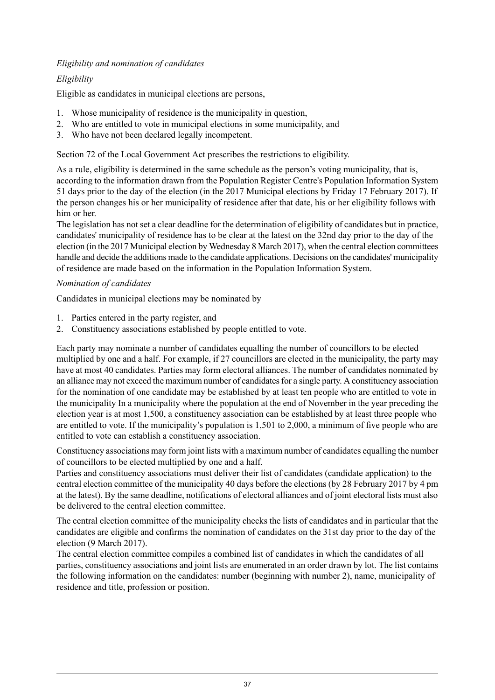#### *Eligibility and nomination of candidates*

#### *Eligibility*

Eligible as candidates in municipal elections are persons,

- 1. Whose municipality of residence is the municipality in question,
- 2. Who are entitled to vote in municipal elections in some municipality, and
- 3. Who have not been declared legally incompetent.

Section 72 of the Local Government Act prescribes the restrictions to eligibility.

As a rule, eligibility is determined in the same schedule as the person's voting municipality, that is, according to the information drawn from the Population Register Centre's Population Information System 51 days prior to the day of the election (in the 2017 Municipal elections by Friday 17 February 2017). If the person changes his or her municipality of residence after that date, his or her eligibility follows with him or her.

The legislation has not set a clear deadline for the determination of eligibility of candidates but in practice, candidates' municipality of residence has to be clear at the latest on the 32nd day prior to the day of the election (in the 2017 Municipal election by Wednesday 8 March 2017), when the central election committees handle and decide the additions made to the candidate applications. Decisions on the candidates' municipality of residence are made based on the information in the Population Information System.

#### *Nomination of candidates*

Candidates in municipal elections may be nominated by

- 1. Parties entered in the party register, and
- 2. Constituency associations established by people entitled to vote.

Each party may nominate a number of candidates equalling the number of councillors to be elected multiplied by one and a half. For example, if 27 councillors are elected in the municipality, the party may have at most 40 candidates. Parties may form electoral alliances. The number of candidates nominated by an alliance may not exceed the maximum number of candidates for a single party. A constituency association for the nomination of one candidate may be established by at least ten people who are entitled to vote in the municipality In a municipality where the population at the end of November in the year preceding the election year is at most 1,500, a constituency association can be established by at least three people who are entitled to vote. If the municipality's population is 1,501 to 2,000, a minimum of five people who are entitled to vote can establish a constituency association.

Constituency associations may form joint lists with a maximum number of candidates equalling the number of councillors to be elected multiplied by one and a half.

Parties and constituency associations must deliver their list of candidates (candidate application) to the central election committee of the municipality 40 days before the elections (by 28 February 2017 by 4 pm at the latest). By the same deadline, notifications of electoral alliances and of joint electoral lists must also be delivered to the central election committee.

The central election committee of the municipality checks the lists of candidates and in particular that the candidates are eligible and confirms the nomination of candidates on the 31st day prior to the day of the election (9 March 2017).

The central election committee compiles a combined list of candidates in which the candidates of all parties, constituency associations and joint lists are enumerated in an order drawn by lot. The list contains the following information on the candidates: number (beginning with number 2), name, municipality of residence and title, profession or position.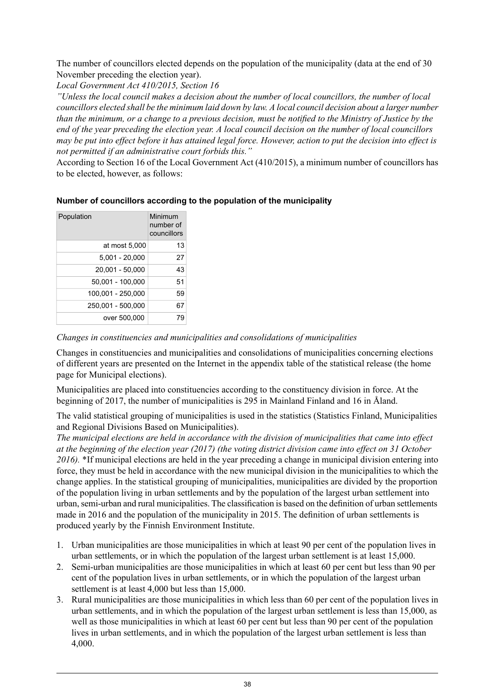The number of councillors elected depends on the population of the municipality (data at the end of 30 November preceding the election year).

*Local Government Act 410/2015, Section 16*

*"Unless the local council makes a decision about the number of local councillors, the number of local* councillors elected shall be the minimum laid down by law. A local council decision about a larger number than the minimum, or a change to a previous decision, must be notified to the Ministry of Justice by the end of the year preceding the election year. A local council decision on the number of local councillors may be put into effect before it has attained legal force. However, action to put the decision into effect is *not permitted if an administrative court forbids this."*

According to Section 16 of the Local Government Act (410/2015), a minimum number of councillors has to be elected, however, as follows:

#### **Number of councillors according to the population of the municipality**

| Population        | Minimum<br>number of<br>councillors |
|-------------------|-------------------------------------|
| at most 5,000     | 13                                  |
| $5.001 - 20.000$  | 27                                  |
| 20,001 - 50,000   | 43                                  |
| 50.001 - 100.000  | 51                                  |
| 100,001 - 250,000 | 59                                  |
| 250,001 - 500,000 | 67                                  |
| over 500,000      | 79                                  |

*Changes in constituencies and municipalities and consolidations of municipalities*

Changes in constituencies and municipalities and consolidations of municipalities concerning elections of different years are presented on the Internet in the appendix table of the statistical release (the home page for Municipal elections).

Municipalities are placed into constituencies according to the constituency division in force. At the beginning of 2017, the number of municipalities is 295 in Mainland Finland and 16 in Åland.

The valid statistical grouping of municipalities is used in the statistics (Statistics Finland, Municipalities and Regional Divisions Based on Municipalities).

*The municipal elections are held in accordance with the division of municipalities that came into effect* at the beginning of the election year (2017) (the voting district division came into effect on 31 October *2016).* \*If municipal elections are held in the year preceding a change in municipal division entering into force, they must be held in accordance with the new municipal division in the municipalities to which the change applies. In the statistical grouping of municipalities, municipalities are divided by the proportion of the population living in urban settlements and by the population of the largest urban settlement into urban,semi-urban and rural municipalities. The classification is based on the definition of urban settlements made in 2016 and the population of the municipality in 2015. The definition of urban settlements is produced yearly by the Finnish Environment Institute.

- 1. Urban municipalities are those municipalities in which at least 90 per cent of the population lives in urban settlements, or in which the population of the largest urban settlement is at least 15,000.
- 2. Semi-urban municipalities are those municipalities in which at least 60 per cent but less than 90 per cent of the population lives in urban settlements, or in which the population of the largest urban settlement is at least 4,000 but less than 15,000.
- 3. Rural municipalities are those municipalities in which less than 60 per cent of the population lives in urban settlements, and in which the population of the largest urban settlement is less than 15,000, as well as those municipalities in which at least 60 per cent but less than 90 per cent of the population lives in urban settlements, and in which the population of the largest urban settlement is less than 4,000.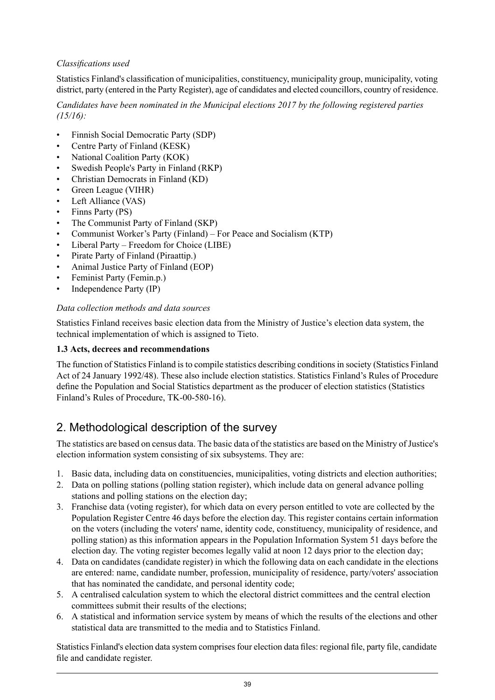#### *Classifications used*

Statistics Finland's classification of municipalities, constituency, municipality group, municipality, voting district, party (entered in the Party Register), age of candidates and elected councillors, country of residence.

*Candidates have been nominated in the Municipal elections 2017 by the following registered parties (15/16):*

- Finnish Social Democratic Party (SDP)
- Centre Party of Finland (KESK)
- National Coalition Party (KOK)
- Swedish People's Party in Finland (RKP)
- Christian Democrats in Finland (KD)
- Green League (VIHR)
- Left Alliance (VAS)
- Finns Party (PS)
- The Communist Party of Finland (SKP)
- Communist Worker's Party (Finland) For Peace and Socialism (KTP)
- Liberal Party Freedom for Choice (LIBE)
- Pirate Party of Finland (Piraattip.)
- Animal Justice Party of Finland (EOP)
- Feminist Party (Femin.p.)
- Independence Party (IP)

#### *Data collection methods and data sources*

Statistics Finland receives basic election data from the Ministry of Justice's election data system, the technical implementation of which is assigned to Tieto.

#### **1.3 Acts, decrees and recommendations**

The function of Statistics Finland is to compile statistics describing conditions in society (Statistics Finland Act of 24 January 1992/48). These also include election statistics. Statistics Finland's Rules of Procedure define the Population and Social Statistics department as the producer of election statistics (Statistics Finland's Rules of Procedure, TK-00-580-16).

## 2. Methodological description of the survey

The statistics are based on census data. The basic data of the statistics are based on the Ministry of Justice's election information system consisting of six subsystems. They are:

- 1. Basic data, including data on constituencies, municipalities, voting districts and election authorities;
- 2. Data on polling stations (polling station register), which include data on general advance polling stations and polling stations on the election day;
- 3. Franchise data (voting register), for which data on every person entitled to vote are collected by the Population Register Centre 46 days before the election day. This register contains certain information on the voters (including the voters' name, identity code, constituency, municipality of residence, and polling station) as this information appears in the Population Information System 51 days before the election day. The voting register becomes legally valid at noon 12 days prior to the election day:
- 4. Data on candidates (candidate register) in which the following data on each candidate in the elections are entered: name, candidate number, profession, municipality of residence, party/voters' association that has nominated the candidate, and personal identity code;
- 5. A centralised calculation system to which the electoral district committees and the central election committees submit their results of the elections;
- 6. A statistical and information service system by means of which the results of the elections and other statistical data are transmitted to the media and to Statistics Finland.

Statistics Finland's election data system comprises four election data files: regional file, party file, candidate file and candidate register.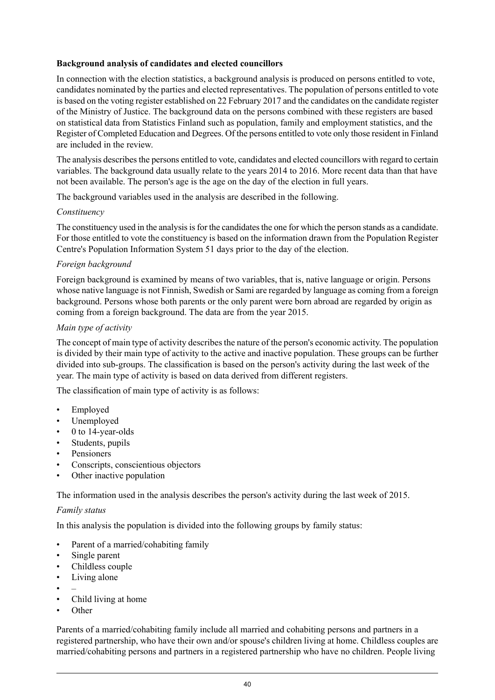#### **Background analysis of candidates and elected councillors**

In connection with the election statistics, a background analysis is produced on persons entitled to vote, candidates nominated by the parties and elected representatives. The population of persons entitled to vote is based on the voting register established on 22 February 2017 and the candidates on the candidate register of the Ministry of Justice. The background data on the persons combined with these registers are based on statistical data from Statistics Finland such as population, family and employment statistics, and the Register of Completed Education and Degrees. Of the persons entitled to vote only those resident in Finland are included in the review.

The analysis describes the persons entitled to vote, candidates and elected councillors with regard to certain variables. The background data usually relate to the years 2014 to 2016. More recent data than that have not been available. The person's age is the age on the day of the election in full years.

The background variables used in the analysis are described in the following.

#### *Constituency*

The constituency used in the analysis is for the candidates the one for which the person stands as a candidate. For those entitled to vote the constituency is based on the information drawn from the Population Register Centre's Population Information System 51 days prior to the day of the election.

#### *Foreign background*

Foreign background is examined by means of two variables, that is, native language or origin. Persons whose native language is not Finnish, Swedish or Sami are regarded by language as coming from a foreign background. Persons whose both parents or the only parent were born abroad are regarded by origin as coming from a foreign background. The data are from the year 2015.

#### *Main type of activity*

The concept of main type of activity describes the nature of the person's economic activity. The population is divided by their main type of activity to the active and inactive population. These groups can be further divided into sub-groups. The classification is based on the person's activity during the last week of the year. The main type of activity is based on data derived from different registers.

The classification of main type of activity is as follows:

- Employed
- Unemployed
- 0 to 14-year-olds
- Students, pupils
- **Pensioners**
- Conscripts, conscientious objectors
- Other inactive population

The information used in the analysis describes the person's activity during the last week of 2015.

#### *Family status*

In this analysis the population is divided into the following groups by family status:

- Parent of a married/cohabiting family
- Single parent
- Childless couple
- Living alone
- –
- Child living at home
- Other

Parents of a married/cohabiting family include all married and cohabiting persons and partners in a registered partnership, who have their own and/or spouse's children living at home. Childless couples are married/cohabiting persons and partners in a registered partnership who have no children. People living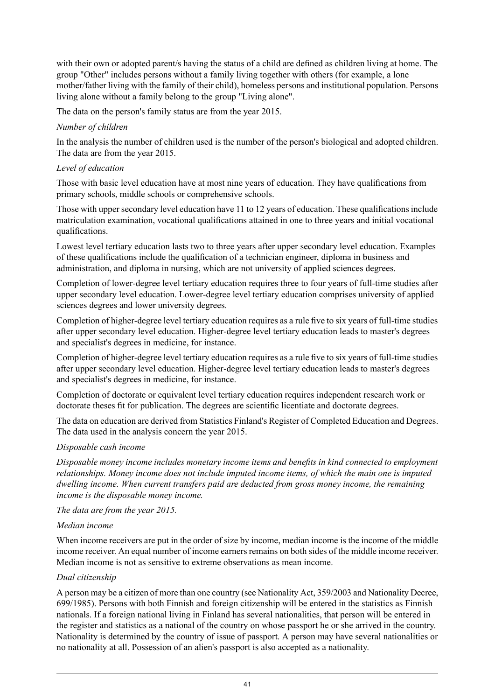with their own or adopted parent/s having the status of a child are defined as children living at home. The group "Other" includes persons without a family living together with others (for example, a lone mother/father living with the family of their child), homeless persons and institutional population. Persons living alone without a family belong to the group "Living alone".

The data on the person's family status are from the year 2015.

#### *Number of children*

In the analysis the number of children used is the number of the person's biological and adopted children. The data are from the year 2015.

#### *Level of education*

Those with basic level education have at most nine years of education. They have qualifications from primary schools, middle schools or comprehensive schools.

Those with upper secondary level education have 11 to 12 years of education. These qualifications include matriculation examination, vocational qualifications attained in one to three years and initial vocational qualifications.

Lowest level tertiary education lasts two to three years after upper secondary level education. Examples of these qualifications include the qualification of a technician engineer, diploma in business and administration, and diploma in nursing, which are not university of applied sciences degrees.

Completion of lower-degree level tertiary education requires three to four years of full-time studies after upper secondary level education. Lower-degree level tertiary education comprises university of applied sciences degrees and lower university degrees.

Completion of higher-degree level tertiary education requires as a rule five to six years of full-time studies after upper secondary level education. Higher-degree level tertiary education leads to master's degrees and specialist's degrees in medicine, for instance.

Completion of higher-degree level tertiary education requires as a rule five to six years of full-time studies after upper secondary level education. Higher-degree level tertiary education leads to master's degrees and specialist's degrees in medicine, for instance.

Completion of doctorate or equivalent level tertiary education requires independent research work or doctorate theses fit for publication. The degrees are scientific licentiate and doctorate degrees.

The data on education are derived from Statistics Finland's Register of Completed Education and Degrees. The data used in the analysis concern the year 2015.

#### *Disposable cash income*

*Disposable money income includes monetary income items and benefits in kind connected to employment relationships. Money income does not include imputed income items, of which the main one is imputed dwelling income. When current transfers paid are deducted from gross money income, the remaining income is the disposable money income.*

*The data are from the year 2015.*

#### *Median income*

When income receivers are put in the order of size by income, median income is the income of the middle income receiver. An equal number of income earners remains on both sides of the middle income receiver. Median income is not as sensitive to extreme observations as mean income.

#### *Dual citizenship*

A person may be a citizen of more than one country (see Nationality Act, 359/2003 and Nationality Decree, 699/1985). Persons with both Finnish and foreign citizenship will be entered in the statistics as Finnish nationals. If a foreign national living in Finland has several nationalities, that person will be entered in the register and statistics as a national of the country on whose passport he or she arrived in the country. Nationality is determined by the country of issue of passport. A person may have several nationalities or no nationality at all. Possession of an alien's passport is also accepted as a nationality.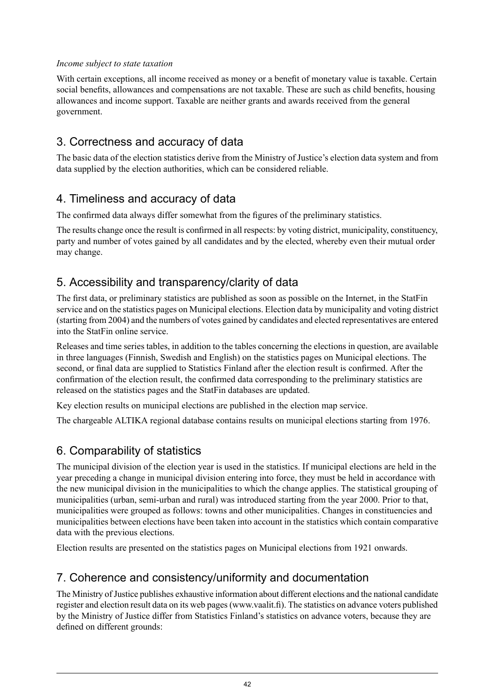#### *Income subject to state taxation*

With certain exceptions, all income received as money or a benefit of monetary value is taxable. Certain social benefits, allowances and compensations are not taxable. These are such as child benefits, housing allowances and income support. Taxable are neither grants and awards received from the general government.

## 3. Correctness and accuracy of data

The basic data of the election statistics derive from the Ministry of Justice's election data system and from data supplied by the election authorities, which can be considered reliable.

## 4. Timeliness and accuracy of data

The confirmed data always differ somewhat from the figures of the preliminary statistics.

The results change once the result is confirmed in all respects: by voting district, municipality, constituency, party and number of votes gained by all candidates and by the elected, whereby even their mutual order may change.

## 5. Accessibility and transparency/clarity of data

The first data, or preliminary statistics are published as soon as possible on the Internet, in the StatFin service and on the statistics pages on Municipal elections. Election data by municipality and voting district (starting from 2004) and the numbers of votes gained by candidates and elected representatives are entered into the StatFin online service.

Releases and time series tables, in addition to the tables concerning the elections in question, are available in three languages (Finnish, Swedish and English) on the statistics pages on Municipal elections. The second, or final data are supplied to Statistics Finland after the election result is confirmed. After the confirmation of the election result, the confirmed data corresponding to the preliminary statistics are released on the statistics pages and the StatFin databases are updated.

Key election results on municipal elections are published in the election map service.

The chargeable ALTIKA regional database contains results on municipal elections starting from 1976.

## 6. Comparability of statistics

The municipal division of the election year is used in the statistics. If municipal elections are held in the year preceding a change in municipal division entering into force, they must be held in accordance with the new municipal division in the municipalities to which the change applies. The statistical grouping of municipalities (urban, semi-urban and rural) was introduced starting from the year 2000. Prior to that, municipalities were grouped as follows: towns and other municipalities. Changes in constituencies and municipalities between elections have been taken into account in the statistics which contain comparative data with the previous elections.

Election results are presented on the statistics pages on Municipal elections from 1921 onwards.

## 7. Coherence and consistency/uniformity and documentation

The Ministry of Justice publishes exhaustive information about different elections and the national candidate register and election result data on its web pages(www.vaalit.fi). The statistics on advance voters published by the Ministry of Justice differ from Statistics Finland's statistics on advance voters, because they are defined on different grounds: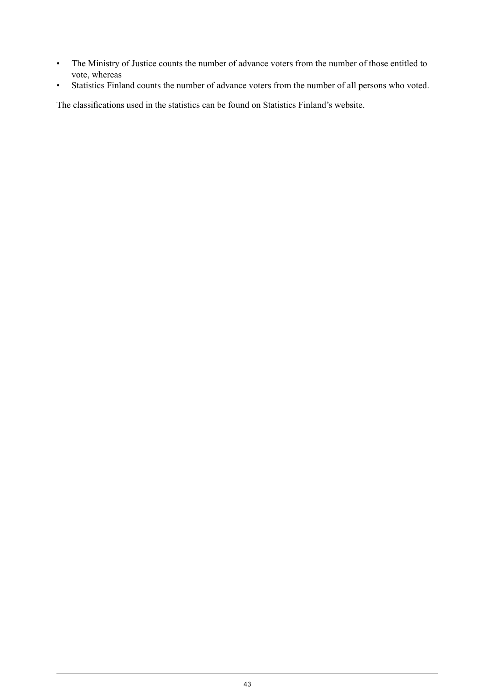- The Ministry of Justice counts the number of advance voters from the number of those entitled to vote, whereas
- Statistics Finland counts the number of advance voters from the number of all persons who voted.

The classifications used in the statistics can be found on Statistics Finland's website.